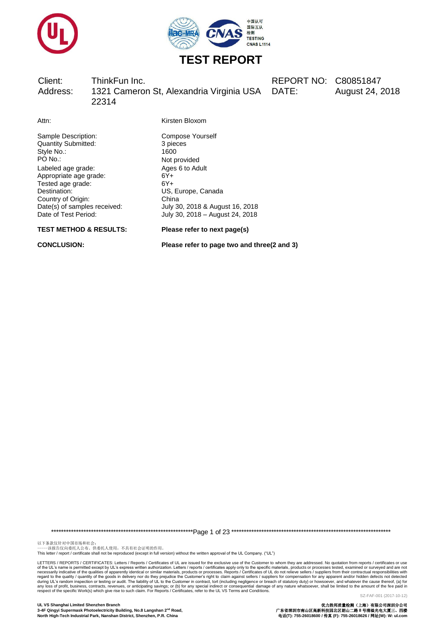



Client: ThinkFun Inc. REPORT NO: C80851847 Address: 1321 Cameron St, Alexandria Virginia USA 22314 DATE: August 24, 2018

Attn: Kirsten Bloxom

Sample Description: Compose Yourself Quantity Submitted: 3 pieces Style No.: 1600<br>PO No.: 1600<br>Not n Labeled age grade: 
Ages<br>
Appropriate age grade: 
6Y+ Appropriate age grade: 6Y+<br>Tested age grade: 6Y+ Tested age grade: Destination: US, Europe, Canada Country of Origin: China<br>Date(s) of samples received: July 3

**TEST METHOD & RESULTS: Please refer to next page(s)**

Not provided<br>Ages 6 to Adult Date(s) of samples received:<br>
Date of Test Period:<br>
Date of Test Period:<br>
July 30, 2018 – August 24, 2018 July 30, 2018 – August 24, 2018

**CONCLUSION: Please refer to page two and three(2 and 3)**

\*\*\*\*\*\*\*\*\*\*\*\*\*\*\*\*\*\*\*\*\*\*\*\*\*\*\*\*\*\*\*\*\*\*\*\*\*\*\*\*\*\*\*\*\*\*\*\*\*\*\*\*\*\*\*\*\*Page 1 of 23 \*\*\*\*\*\*\*\*\*\*\*\*\*\*\*\*\*\*\*\*\*\*\*\*\*\*\*\*\*\*\*\*\*\*\*\*\*\*\*\*\*\*\*\*\*\*\*\*\*\*\*\*\*\*\*\*\*\*\*\*\*\*\*\*

以下条款仅针对中国市场和社会: -----该报告仅向委托人公布、供委托人使用,不具有社会证明的作用。

This letter / report / certificate shall not be reproduced (except in full version) without the written approval of the UL Company. ("UL")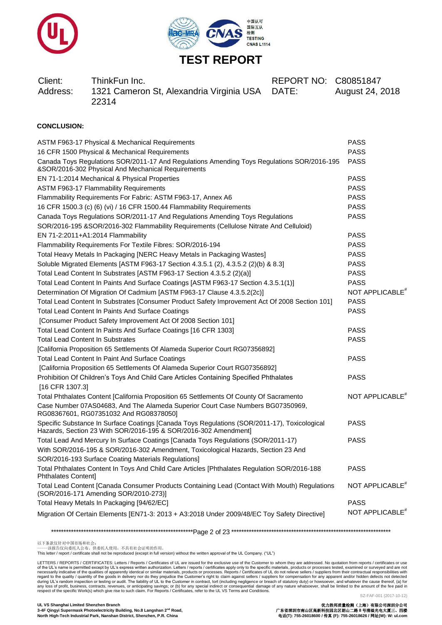



| Client:  | ThinkFun Inc.                                  | REPORT NO: C80851847 |                 |
|----------|------------------------------------------------|----------------------|-----------------|
| Address: | 1321 Cameron St, Alexandria Virginia USA DATE: |                      | August 24, 2018 |
|          | 22314                                          |                      |                 |

#### **CONCLUSION:**

| ASTM F963-17 Physical & Mechanical Requirements                                                                                                                 | <b>PASS</b>                 |
|-----------------------------------------------------------------------------------------------------------------------------------------------------------------|-----------------------------|
| 16 CFR 1500 Physical & Mechanical Requirements                                                                                                                  | <b>PASS</b>                 |
| Canada Toys Regulations SOR/2011-17 And Regulations Amending Toys Regulations SOR/2016-195<br>&SOR/2016-302 Physical And Mechanical Requirements                | <b>PASS</b>                 |
| EN 71-1:2014 Mechanical & Physical Properties                                                                                                                   | <b>PASS</b>                 |
| <b>ASTM F963-17 Flammability Requirements</b>                                                                                                                   | <b>PASS</b>                 |
| Flammability Requirements For Fabric: ASTM F963-17, Annex A6                                                                                                    | <b>PASS</b>                 |
| 16 CFR 1500.3 (c) (6) (vi) / 16 CFR 1500.44 Flammability Requirements                                                                                           | <b>PASS</b>                 |
| Canada Toys Regulations SOR/2011-17 And Regulations Amending Toys Regulations                                                                                   | <b>PASS</b>                 |
| SOR/2016-195 &SOR/2016-302 Flammability Requirements (Cellulose Nitrate And Celluloid)                                                                          |                             |
| EN 71-2:2011+A1:2014 Flammability                                                                                                                               | <b>PASS</b>                 |
| Flammability Requirements For Textile Fibres: SOR/2016-194                                                                                                      | <b>PASS</b>                 |
| Total Heavy Metals In Packaging [NERC Heavy Metals in Packaging Wastes]                                                                                         | <b>PASS</b>                 |
| Soluble Migrated Elements [ASTM F963-17 Section 4.3.5.1 (2), 4.3.5.2 (2)(b) & 8.3]                                                                              | <b>PASS</b>                 |
| Total Lead Content In Substrates [ASTM F963-17 Section 4.3.5.2 (2)(a)]                                                                                          | <b>PASS</b>                 |
| Total Lead Content In Paints And Surface Coatings [ASTM F963-17 Section 4.3.5.1(1)]                                                                             | <b>PASS</b>                 |
| Determination Of Migration Of Cadmium [ASTM F963-17 Clause 4.3.5.2(2c)]                                                                                         | NOT APPLICABLE <sup>#</sup> |
| Total Lead Content In Substrates [Consumer Product Safety Improvement Act Of 2008 Section 101]                                                                  | <b>PASS</b>                 |
| <b>Total Lead Content In Paints And Surface Coatings</b>                                                                                                        | <b>PASS</b>                 |
| [Consumer Product Safety Improvement Act Of 2008 Section 101]                                                                                                   |                             |
| Total Lead Content In Paints And Surface Coatings [16 CFR 1303]                                                                                                 | <b>PASS</b>                 |
| <b>Total Lead Content In Substrates</b>                                                                                                                         | <b>PASS</b>                 |
| [California Proposition 65 Settlements Of Alameda Superior Court RG07356892]                                                                                    |                             |
| Total Lead Content In Paint And Surface Coatings                                                                                                                | <b>PASS</b>                 |
| [California Proposition 65 Settlements Of Alameda Superior Court RG07356892]                                                                                    |                             |
| Prohibition Of Children's Toys And Child Care Articles Containing Specified Phthalates<br>[16 CFR 1307.3]                                                       | <b>PASS</b>                 |
| Total Phthalates Content [California Proposition 65 Settlements Of County Of Sacramento                                                                         | NOT APPLICABLE <sup>#</sup> |
| Case Number 07AS04683, And The Alameda Superior Court Case Numbers BG07350969,<br>RG08367601, RG07351032 And RG08378050]                                        |                             |
| Specific Substance In Surface Coatings [Canada Toys Regulations (SOR/2011-17), Toxicological<br>Hazards, Section 23 With SOR/2016-195 & SOR/2016-302 Amendment] | <b>PASS</b>                 |
| Total Lead And Mercury In Surface Coatings [Canada Toys Regulations (SOR/2011-17)                                                                               | <b>PASS</b>                 |
| With SOR/2016-195 & SOR/2016-302 Amendment, Toxicological Hazards, Section 23 And                                                                               |                             |
| SOR/2016-193 Surface Coating Materials Regulations]                                                                                                             |                             |
| Total Phthalates Content In Toys And Child Care Articles [Phthalates Regulation SOR/2016-188<br>Phthalates Content]                                             | <b>PASS</b>                 |
| Total Lead Content [Canada Consumer Products Containing Lead (Contact With Mouth) Regulations<br>(SOR/2016-171 Amending SOR/2010-273)]                          | NOT APPLICABLE <sup>#</sup> |
| Total Heavy Metals In Packaging [94/62/EC]                                                                                                                      | <b>PASS</b>                 |
| Migration Of Certain Elements [EN71-3: 2013 + A3:2018 Under 2009/48/EC Toy Safety Directive]                                                                    | NOT APPLICABLE <sup>#</sup> |

\*\*\*\*\*\*\*\*\*\*\*\*\*\*\*\*\*\*\*\*\*\*\*\*\*\*\*\*\*\*\*\*\*\*\*\*\*\*\*\*\*\*\*\*\*\*\*\*\*\*\*\*\*\*\*\*\*Page 2 of 23 \*\*\*\*\*\*\*\*\*\*\*\*\*\*\*\*\*\*\*\*\*\*\*\*\*\*\*\*\*\*\*\*\*\*\*\*\*\*\*\*\*\*\*\*\*\*\*\*\*\*\*\*\*\*\*\*\*\*\*\*\*\*\*\*

以下条款仅针对中国市场和社会: -----该报告仅向委托人公布、供委托人使用,不具有社会证明的作用。

This letter / report / certificate shall not be reproduced (except in full version) without the written approval of the UL Company. ("UL")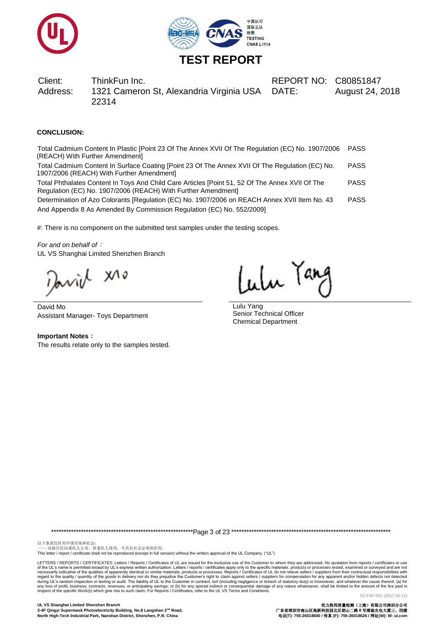



| Client:  | ThinkFun Inc.                                  | REPORT NO: C80851847 |                 |
|----------|------------------------------------------------|----------------------|-----------------|
| Address: | 1321 Cameron St, Alexandria Virginia USA DATE: |                      | August 24, 2018 |
|          | 22314                                          |                      |                 |

#### **CONCLUSION:**

Total Cadmium Content In Plastic [Point 23 Of The Annex XVII Of The Regulation (EC) No. 1907/2006 (REACH) With Further Amendment] PASS Total Cadmium Content In Surface Coating [Point 23 Of The Annex XVII Of The Regulation (EC) No. 1907/2006 (REACH) With Further Amendment] PASS Total Phthalates Content In Toys And Child Care Articles [Point 51, 52 Of The Annex XVII Of The Regulation (EC) No. 1907/2006 (REACH) With Further Amendment] PASS Determination of Azo Colorants [Regulation (EC) No. 1907/2006 on REACH Annex XVII Item No. 43 And Appendix 8 As Amended By Commission Regulation (EC) No. 552/2009] PASS

#: There is no component on the submitted test samples under the testing scopes.

*For and on behalf of*: UL VS Shanghai Limited Shenzhen Branch

 $\times$ avib

David Mo Assistant Manager- Toys Department

#### **Important Notes**:

The results relate only to the samples tested.

Lulu Tang

Lulu Yang Senior Technical Officer Chemical Department

\*\*\*\*\*\*\*\*\*\*\*\*\*\*\*\*\*\*\*\*\*\*\*\*\*\*\*\*\*\*\*\*\*\*\*\*\*\*\*\*\*\*\*\*\*\*\*\*\*\*\*\*\*\*\*\*\*Page 3 of 23 \*\*\*\*\*\*\*\*\*\*\*\*\*\*\*\*\*\*\*\*\*\*\*\*\*\*\*\*\*\*\*\*\*\*\*\*\*\*\*\*\*\*\*\*\*\*\*\*\*\*\*\*\*\*\*\*\*\*\*\*\*\*\*\*

以下条款仅针对中国市场和社会: -----该报告仅向委托人公布、供委托人使用,不具有社会证明的作用。

This letter / report / certificate shall not be reproduced (except in full version) without the written approval of the UL Company. ("UL")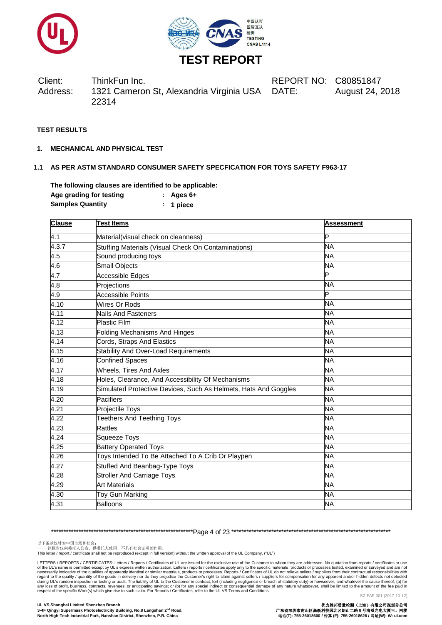



Client: ThinkFun Inc. REPORT NO: C80851847 Address: 1321 Cameron St, Alexandria Virginia USA 22314 DATE: August 24, 2018

#### **TEST RESULTS**

**1. MECHANICAL AND PHYSICAL TEST**

### **1.1 AS PER ASTM STANDARD CONSUMER SAFETY SPECFICATION FOR TOYS SAFETY F963-17**

**The following clauses are identified to be applicable: Age grading for testing : Ages 6+ Samples Quantity : 1 piece**

| <b>Clause</b> | <b>Test Items</b>                                               | <b>Assessment</b> |
|---------------|-----------------------------------------------------------------|-------------------|
| 4.1           | Material(visual check on cleanness)                             | P                 |
| 4.3.7         | Stuffing Materials (Visual Check On Contaminations)             | <b>NA</b>         |
| 4.5           | Sound producing toys                                            | <b>NA</b>         |
| 4.6           | <b>Small Objects</b>                                            | <b>NA</b>         |
| 4.7           | <b>Accessible Edges</b>                                         | P                 |
| 4.8           | Projections                                                     | <b>NA</b>         |
| 4.9           | <b>Accessible Points</b>                                        | P                 |
| 4.10          | Wires Or Rods                                                   | <b>NA</b>         |
| 4.11          | <b>Nails And Fasteners</b>                                      | <b>NA</b>         |
| 4.12          | <b>Plastic Film</b>                                             | <b>NA</b>         |
| 4.13          | <b>Folding Mechanisms And Hinges</b>                            | <b>NA</b>         |
| 4.14          | Cords, Straps And Elastics                                      | <b>NA</b>         |
| 4.15          | <b>Stability And Over-Load Requirements</b>                     | <b>NA</b>         |
| 4.16          | <b>Confined Spaces</b>                                          | <b>NA</b>         |
| 4.17          | <b>Wheels, Tires And Axles</b>                                  | <b>NA</b>         |
| 4.18          | Holes, Clearance, And Accessibility Of Mechanisms               | <b>NA</b>         |
| 4.19          | Simulated Protective Devices, Such As Helmets, Hats And Goggles | <b>NA</b>         |
| 4.20          | Pacifiers                                                       | <b>NA</b>         |
| 4.21          | Projectile Toys                                                 | <b>NA</b>         |
| 4.22          | <b>Teethers And Teething Toys</b>                               | <b>NA</b>         |
| 4.23          | Rattles                                                         | <b>NA</b>         |
| 4.24          | <b>Squeeze Toys</b>                                             | <b>NA</b>         |
| 4.25          | <b>Battery Operated Toys</b>                                    | <b>NA</b>         |
| 4.26          | Toys Intended To Be Attached To A Crib Or Playpen               | <b>NA</b>         |
| 4.27          | <b>Stuffed And Beanbag-Type Toys</b>                            | <b>NA</b>         |
| 4.28          | <b>Stroller And Carriage Toys</b>                               | <b>NA</b>         |
| 4.29          | <b>Art Materials</b>                                            | <b>NA</b>         |
| 4.30          | <b>Toy Gun Marking</b>                                          | <b>NA</b>         |
| 4.31          | <b>Balloons</b>                                                 | <b>NA</b>         |

\*\*\*\*\*\*\*\*\*\*\*\*\*\*\*\*\*\*\*\*\*\*\*\*\*\*\*\*\*\*\*\*\*\*\*\*\*\*\*\*\*\*\*\*\*\*\*\*\*\*\*\*\*\*\*\*\*Page 4 of 23 \*\*\*\*\*\*\*\*\*\*\*\*\*\*\*\*\*\*\*\*\*\*\*\*\*\*\*\*\*\*\*\*\*\*\*\*\*\*\*\*\*\*\*\*\*\*\*\*\*\*\*\*\*\*\*\*\*\*\*\*\*\*\*\*

以下条款仅针对中国市场和社会: -----该报告仅向委托人公布、供委托人使用,不具有社会证明的作用。

This letter / report / certificate shall not be reproduced (except in full version) without the written approval of the UL Company. ("UL")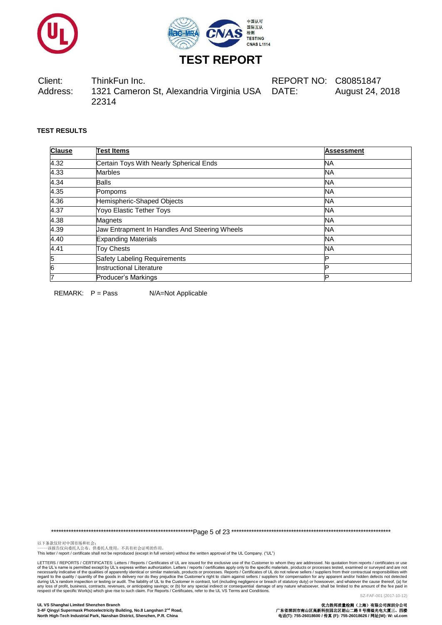



| Client:  | ThinkFun Inc.                                  | REPORT NO: C80851847 |                 |
|----------|------------------------------------------------|----------------------|-----------------|
| Address: | 1321 Cameron St, Alexandria Virginia USA DATE: |                      | August 24, 2018 |
|          | 22314                                          |                      |                 |

### **TEST RESULTS**

| <b>Clause</b> | Test Items                                    | <b>Assessment</b> |
|---------------|-----------------------------------------------|-------------------|
| 4.32          | Certain Toys With Nearly Spherical Ends       | <b>NA</b>         |
| 4.33          | <b>Marbles</b>                                | <b>NA</b>         |
| 4.34          | <b>Balls</b>                                  | <b>NA</b>         |
| 4.35          | Pompoms                                       | <b>NA</b>         |
| 4.36          | Hemispheric-Shaped Objects                    | NA                |
| 4.37          | Yoyo Elastic Tether Toys                      | <b>NA</b>         |
| 4.38          | <b>Magnets</b>                                | NA                |
| 4.39          | Jaw Entrapment In Handles And Steering Wheels | <b>NA</b>         |
| 4.40          | <b>Expanding Materials</b>                    | <b>NA</b>         |
| 4.41          | <b>Toy Chests</b>                             | <b>NA</b>         |
| 5             | Safety Labeling Requirements                  |                   |
| 6             | <b>Instructional Literature</b>               |                   |
| 17            | Producer's Markings                           | D                 |

REMARK: P = Pass N/A=Not Applicable

\*\*\*\*\*\*\*\*\*\*\*\*\*\*\*\*\*\*\*\*\*\*\*\*\*\*\*\*\*\*\*\*\*\*\*\*\*\*\*\*\*\*\*\*\*\*\*\*\*\*\*\*\*\*\*\*\*Page 5 of 23 \*\*\*\*\*\*\*\*\*\*\*\*\*\*\*\*\*\*\*\*\*\*\*\*\*\*\*\*\*\*\*\*\*\*\*\*\*\*\*\*\*\*\*\*\*\*\*\*\*\*\*\*\*\*\*\*\*\*\*\*\*\*\*\*

以下条款仅针对中国市场和社会: -----该报告仅向委托人公布、供委托人使用,不具有社会证明的作用。

This letter / report / certificate shall not be reproduced (except in full version) without the written approval of the UL Company. ("UL")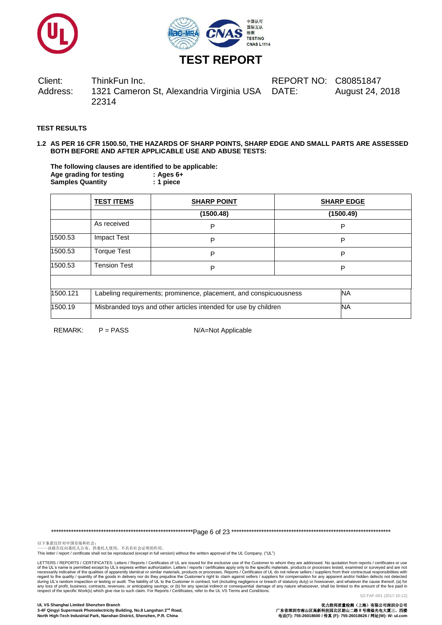



Client: ThinkFun Inc. REPORT NO: C80851847 Address: 1321 Cameron St, Alexandria Virginia USA 22314 DATE: August 24, 2018

### **TEST RESULTS**

#### **1.2 AS PER 16 CFR 1500.50, THE HAZARDS OF SHARP POINTS, SHARP EDGE AND SMALL PARTS ARE ASSESSED BOTH BEFORE AND AFTER APPLICABLE USE AND ABUSE TESTS:**

**The following clauses are identified to be applicable: Age grading for testing : Ages 6+ <b>Samples** Quantity

|          | <b>TEST ITEMS</b>   | <b>SHARP POINT</b>                                                | <b>SHARP EDGE</b> |  |
|----------|---------------------|-------------------------------------------------------------------|-------------------|--|
|          |                     | (1500.48)                                                         | (1500.49)         |  |
|          | As received         | P                                                                 | P                 |  |
| 1500.53  | <b>Impact Test</b>  | P                                                                 | P                 |  |
| 1500.53  | <b>Torque Test</b>  | P                                                                 | P                 |  |
| 1500.53  | <b>Tension Test</b> | P                                                                 | P                 |  |
|          |                     |                                                                   |                   |  |
| 1500.121 |                     | Labeling requirements; prominence, placement, and conspicuousness | NA.               |  |
| 1500.19  |                     | Misbranded toys and other articles intended for use by children   | <b>NA</b>         |  |

 $REMARK:$   $P = PASS$   $N/A=Not Applicable$ 

\*\*\*\*\*\*\*\*\*\*\*\*\*\*\*\*\*\*\*\*\*\*\*\*\*\*\*\*\*\*\*\*\*\*\*\*\*\*\*\*\*\*\*\*\*\*\*\*\*\*\*\*\*\*\*\*\*Page 6 of 23 \*\*\*\*\*\*\*\*\*\*\*\*\*\*\*\*\*\*\*\*\*\*\*\*\*\*\*\*\*\*\*\*\*\*\*\*\*\*\*\*\*\*\*\*\*\*\*\*\*\*\*\*\*\*\*\*\*\*\*\*\*\*\*\*

以下条款仅针对中国市场和社会: -----该报告仅向委托人公布、供委托人使用,不具有社会证明的作用。

This letter / report / certificate shall not be reproduced (except in full version) without the written approval of the UL Company. ("UL")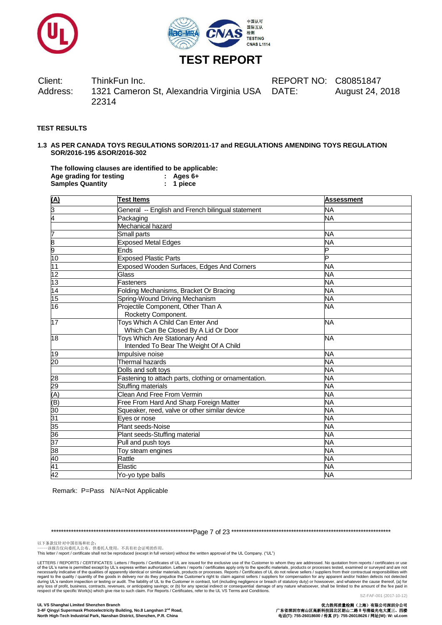



| Client:  | ThinkFun Inc.                                  | REPORT NO: C80851847 |                 |
|----------|------------------------------------------------|----------------------|-----------------|
| Address: | 1321 Cameron St, Alexandria Virginia USA DATE: |                      | August 24, 2018 |
|          | 22314                                          |                      |                 |

#### **TEST RESULTS**

#### **1.3 AS PER CANADA TOYS REGULATIONS SOR/2011-17 and REGULATIONS AMENDING TOYS REGULATION SOR/2016-195 &SOR/2016-302**

**The following clauses are identified to be applicable: Age grading for testing : Ages 6+**  $S$ amples Quantity

| $\frac{(\mathbf{A})}{3}$                                                     | <b>Test Items</b>                                     | <b>Assessment</b> |
|------------------------------------------------------------------------------|-------------------------------------------------------|-------------------|
|                                                                              | General -- English and French bilingual statement     | ΝA                |
|                                                                              | Packaging                                             | <b>NA</b>         |
|                                                                              | Mechanical hazard                                     |                   |
| 7                                                                            | Small parts                                           | <b>NA</b>         |
|                                                                              | <b>Exposed Metal Edges</b>                            | <b>NA</b>         |
|                                                                              | Ends                                                  | P                 |
|                                                                              | <b>Exposed Plastic Parts</b>                          |                   |
| $\frac{8}{9}$ $\frac{9}{10}$ $\frac{10}{11}$ $\frac{12}{13}$ $\frac{14}{15}$ | Exposed Wooden Surfaces, Edges And Corners            | <b>NA</b>         |
|                                                                              | Glass                                                 | <b>NA</b>         |
|                                                                              | Fasteners                                             | <b>NA</b>         |
|                                                                              | Folding Mechanisms, Bracket Or Bracing                | <b>NA</b>         |
|                                                                              | Spring-Wound Driving Mechanism                        | ΝA                |
| 16                                                                           | Projectile Component, Other Than A                    | <b>NA</b>         |
|                                                                              | Rocketry Component.                                   |                   |
| 17                                                                           | Toys Which A Child Can Enter And                      | <b>NA</b>         |
|                                                                              | Which Can Be Closed By A Lid Or Door                  |                   |
| $\overline{18}$                                                              | Toys Which Are Stationary And                         | <b>NA</b>         |
|                                                                              | Intended To Bear The Weight Of A Child                |                   |
| 19                                                                           | Impulsive noise                                       | <b>NA</b>         |
| $\overline{20}$                                                              | Thermal hazards                                       | <b>NA</b>         |
|                                                                              | Dolls and soft toys                                   | <b>NA</b>         |
|                                                                              | Fastening to attach parts, clothing or ornamentation. | <b>NA</b>         |
|                                                                              | Stuffing materials                                    | ΝA                |
|                                                                              | Clean And Free From Vermin                            | <b>NA</b>         |
|                                                                              | Free From Hard And Sharp Foreign Matter               | <b>NA</b>         |
|                                                                              | Squeaker, reed, valve or other similar device         | <b>NA</b>         |
|                                                                              | Eyes or nose                                          | ΝA                |
|                                                                              | Plant seeds-Noise                                     | ΝA                |
|                                                                              | Plant seeds-Stuffing material                         | <b>NA</b>         |
|                                                                              | Pull and push toys                                    | ΝA                |
| 28<br>29<br>(A) (B) 30<br>31<br>35<br>36<br>37<br>38<br>40                   | Toy steam engines                                     | <b>NA</b>         |
|                                                                              | Rattle                                                | <b>NA</b>         |
| 41                                                                           | Elastic                                               | ΝA                |
| 42                                                                           | Yo-yo type balls                                      | <b>NA</b>         |

Remark: P=Pass N/A=Not Applicable

\*\*\*\*\*\*\*\*\*\*\*\*\*\*\*\*\*\*\*\*\*\*\*\*\*\*\*\*\*\*\*\*\*\*\*\*\*\*\*\*\*\*\*\*\*\*\*\*\*\*\*\*\*\*\*\*\*Page 7 of 23 \*\*\*\*\*\*\*\*\*\*\*\*\*\*\*\*\*\*\*\*\*\*\*\*\*\*\*\*\*\*\*\*\*\*\*\*\*\*\*\*\*\*\*\*\*\*\*\*\*\*\*\*\*\*\*\*\*\*\*\*\*\*\*\*

以下条款仅针对中国市场和社会: -----该报告仅向委托人公布、供委托人使用,不具有社会证明的作用。

This letter / report / certificate shall not be reproduced (except in full version) without the written approval of the UL Company. ("UL")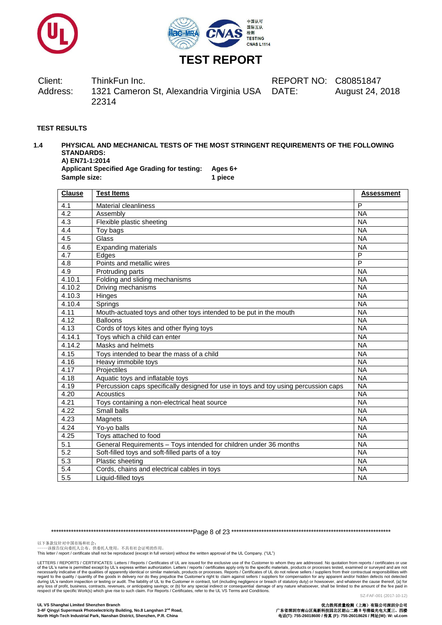



Client: ThinkFun Inc. REPORT NO: C80851847 Address: 1321 Cameron St, Alexandria Virginia USA 22314 DATE: August 24, 2018

#### **TEST RESULTS**

#### **1.4 PHYSICAL AND MECHANICAL TESTS OF THE MOST STRINGENT REQUIREMENTS OF THE FOLLOWING STANDARDS: A) EN71-1:2014**

**Applicant Specified Age Grading for testing: Ages 6+ Sample size: 1 piece**

| <b>Clause</b>    | <b>Test Items</b>                                                                   | <b>Assessment</b> |
|------------------|-------------------------------------------------------------------------------------|-------------------|
| 4.1              | <b>Material cleanliness</b>                                                         | P                 |
| 4.2              | Assembly                                                                            | <b>NA</b>         |
| 4.3              | Flexible plastic sheeting                                                           | <b>NA</b>         |
| 4.4              | Toy bags                                                                            | <b>NA</b>         |
| 4.5              | Glass                                                                               | <b>NA</b>         |
| 4.6              | <b>Expanding materials</b>                                                          | <b>NA</b>         |
| $\overline{4.7}$ | Edges                                                                               | $\overline{P}$    |
| 4.8              | Points and metallic wires                                                           | $\overline{P}$    |
| 4.9              | Protruding parts                                                                    | <b>NA</b>         |
| 4.10.1           | Folding and sliding mechanisms                                                      | <b>NA</b>         |
| 4.10.2           | Driving mechanisms                                                                  | <b>NA</b>         |
| 4.10.3           | Hinges                                                                              | <b>NA</b>         |
| 4.10.4           | Springs                                                                             | <b>NA</b>         |
| 4.11             | Mouth-actuated toys and other toys intended to be put in the mouth                  | <b>NA</b>         |
| 4.12             | <b>Balloons</b>                                                                     | <b>NA</b>         |
| 4.13             | Cords of toys kites and other flying toys                                           | <b>NA</b>         |
| 4.14.1           | Toys which a child can enter                                                        | <b>NA</b>         |
| 4.14.2           | Masks and helmets                                                                   | <b>NA</b>         |
| 4.15             | Toys intended to bear the mass of a child                                           | <b>NA</b>         |
| 4.16             | Heavy immobile toys                                                                 | <b>NA</b>         |
| 4.17             | Projectiles                                                                         | <b>NA</b>         |
| 4.18             | Aquatic toys and inflatable toys                                                    | <b>NA</b>         |
| 4.19             | Percussion caps specifically designed for use in toys and toy using percussion caps | <b>NA</b>         |
| 4.20             | Acoustics                                                                           | <b>NA</b>         |
| 4.21             | Toys containing a non-electrical heat source                                        | <b>NA</b>         |
| 4.22             | Small balls                                                                         | <b>NA</b>         |
| 4.23             | Magnets                                                                             | <b>NA</b>         |
| 4.24             | Yo-yo balls                                                                         | <b>NA</b>         |
| 4.25             | Toys attached to food                                                               | <b>NA</b>         |
| 5.1              | General Requirements - Toys intended for children under 36 months                   | <b>NA</b>         |
| 5.2              | Soft-filled toys and soft-filled parts of a toy                                     | <b>NA</b>         |
| 5.3              | Plastic sheeting                                                                    | <b>NA</b>         |
| $\overline{5.4}$ | Cords, chains and electrical cables in toys                                         | <b>NA</b>         |
| 5.5              | Liquid-filled toys                                                                  | <b>NA</b>         |

\*\*\*\*\*\*\*\*\*\*\*\*\*\*\*\*\*\*\*\*\*\*\*\*\*\*\*\*\*\*\*\*\*\*\*\*\*\*\*\*\*\*\*\*\*\*\*\*\*\*\*\*\*\*\*\*\*Page 8 of 23 \*\*\*\*\*\*\*\*\*\*\*\*\*\*\*\*\*\*\*\*\*\*\*\*\*\*\*\*\*\*\*\*\*\*\*\*\*\*\*\*\*\*\*\*\*\*\*\*\*\*\*\*\*\*\*\*\*\*\*\*\*\*\*\*

以下条款仅针对中国市场和社会: -----该报告仅向委托人公布、供委托人使用,不具有社会证明的作用。

This letter / report / certificate shall not be reproduced (except in full version) without the written approval of the UL Company. ("UL")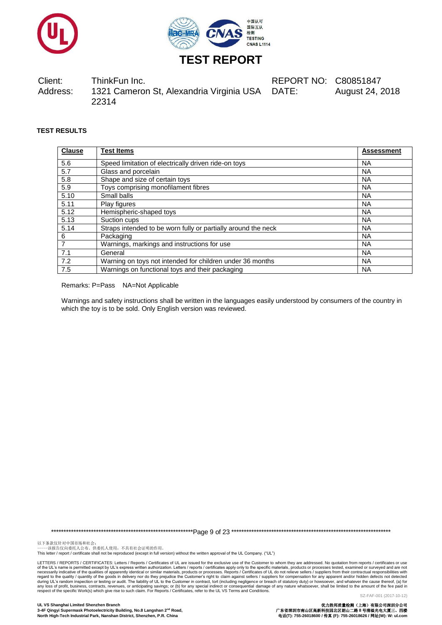



| Client:  | ThinkFun Inc.                                  | REPORT NO: C80851847 |                 |
|----------|------------------------------------------------|----------------------|-----------------|
| Address: | 1321 Cameron St, Alexandria Virginia USA DATE: |                      | August 24, 2018 |
|          | 22314                                          |                      |                 |

### **TEST RESULTS**

| <b>Clause</b>  | <b>Test Items</b>                                             | <b>Assessment</b> |
|----------------|---------------------------------------------------------------|-------------------|
| 5.6            | Speed limitation of electrically driven ride-on toys          | <b>NA</b>         |
| 5.7            | Glass and porcelain                                           | NА                |
| 5.8            | Shape and size of certain toys                                | <b>NA</b>         |
| 5.9            | Toys comprising monofilament fibres                           | <b>NA</b>         |
| 5.10           | Small balls                                                   | <b>NA</b>         |
| 5.11           | Play figures                                                  | <b>NA</b>         |
| 5.12           | Hemispheric-shaped toys                                       | <b>NA</b>         |
| 5.13           | Suction cups                                                  | NA                |
| 5.14           | Straps intended to be worn fully or partially around the neck | <b>NA</b>         |
| 6              | Packaging                                                     | <b>NA</b>         |
| $\overline{7}$ | Warnings, markings and instructions for use                   | <b>NA</b>         |
| 7.1            | General                                                       | <b>NA</b>         |
| 7.2            | Warning on toys not intended for children under 36 months     | NA                |
| 7.5            | Warnings on functional toys and their packaging               | <b>NA</b>         |

Remarks: P=Pass NA=Not Applicable

Warnings and safety instructions shall be written in the languages easily understood by consumers of the country in which the toy is to be sold. Only English version was reviewed.

\*\*\*\*\*\*\*\*\*\*\*\*\*\*\*\*\*\*\*\*\*\*\*\*\*\*\*\*\*\*\*\*\*\*\*\*\*\*\*\*\*\*\*\*\*\*\*\*\*\*\*\*\*\*\*\*\*Page 9 of 23 \*\*\*\*\*\*\*\*\*\*\*\*\*\*\*\*\*\*\*\*\*\*\*\*\*\*\*\*\*\*\*\*\*\*\*\*\*\*\*\*\*\*\*\*\*\*\*\*\*\*\*\*\*\*\*\*\*\*\*\*\*\*\*\*

以下条款仅针对中国市场和社会: -----该报告仅向委托人公布、供委托人使用,不具有社会证明的作用。

This letter / report / certificate shall not be reproduced (except in full version) without the written approval of the UL Company. ("UL")

LETTERS / REPORTS / CERTIFICATES: Letters / Reports / Certificates of UL are issued for the exclusive use of the Customer to whom they are addressed. No quotation from reports / certificates or use of the UL's name is permitted except by UL's express written authorization. Letters / reports / certificates apply only to the specific materials, products or processes tested, examined or surveyed and are not of the quali

SZ-FAF-001 (2017-10-12)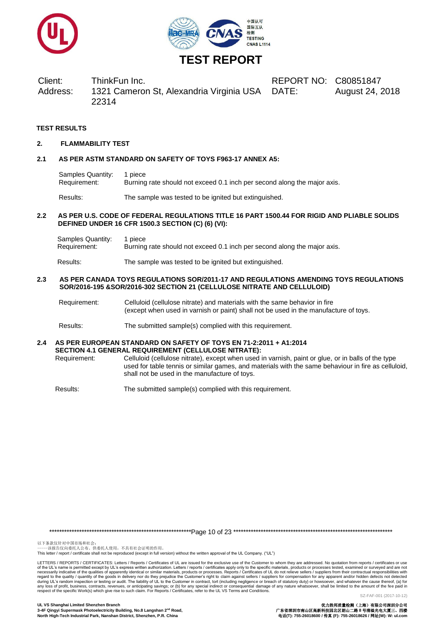



Client: ThinkFun Inc. REPORT NO: C80851847 Address: 1321 Cameron St, Alexandria Virginia USA 22314 DATE: August 24, 2018

#### **TEST RESULTS**

#### **2. FLAMMABILITY TEST**

#### **2.1 AS PER ASTM STANDARD ON SAFETY OF TOYS F963-17 ANNEX A5:**

Samples Quantity: 1 piece Requirement: Burning rate should not exceed 0.1 inch per second along the major axis.

Results: The sample was tested to be ignited but extinguished.

#### **2.2 AS PER U.S. CODE OF FEDERAL REGULATIONS TITLE 16 PART 1500.44 FOR RIGID AND PLIABLE SOLIDS DEFINED UNDER 16 CFR 1500.3 SECTION (C) (6) (VI):**

| Samples Quantity: | 1 piece                                                                  |
|-------------------|--------------------------------------------------------------------------|
| Requirement:      | Burning rate should not exceed 0.1 inch per second along the major axis. |

Results: The sample was tested to be ignited but extinguished.

#### **2.3 AS PER CANADA TOYS REGULATIONS SOR/2011-17 AND REGULATIONS AMENDING TOYS REGULATIONS SOR/2016-195 &SOR/2016-302 SECTION 21 (CELLULOSE NITRATE AND CELLULOID)**

- Requirement: Celluloid (cellulose nitrate) and materials with the same behavior in fire (except when used in varnish or paint) shall not be used in the manufacture of toys.
- Results: The submitted sample(s) complied with this requirement.

#### **2.4 AS PER EUROPEAN STANDARD ON SAFETY OF TOYS EN 71-2:2011 + A1:2014 SECTION 4.1 GENERAL REQUIREMENT (CELLULOSE NITRATE):**

Requirement: Celluloid (cellulose nitrate), except when used in varnish, paint or glue, or in balls of the type used for table tennis or similar games, and materials with the same behaviour in fire as celluloid, shall not be used in the manufacture of toys.

Results: The submitted sample(s) complied with this requirement.

\*\*\*\*\*\*\*\*\*\*\*\*\*\*\*\*\*\*\*\*\*\*\*\*\*\*\*\*\*\*\*\*\*\*\*\*\*\*\*\*\*\*\*\*\*\*\*\*\*\*\*\*\*\*\*\*\*Page 10 of 23 \*\*\*\*\*\*\*\*\*\*\*\*\*\*\*\*\*\*\*\*\*\*\*\*\*\*\*\*\*\*\*\*\*\*\*\*\*\*\*\*\*\*\*\*\*\*\*\*\*\*\*\*\*\*\*\*\*\*\*\*\*\*\*\*

以下条款仅针对中国市场和社会: -----该报告仅向委托人公布、供委托人使用,不具有社会证明的作用。

This letter / report / certificate shall not be reproduced (except in full version) without the written approval of the UL Company. ("UL")

LETTERS / REPORTS / CERTIFICATES: Letters / Reports / Certificates of UL are issued for the exclusive use of the Customer to whom they are addressed. No quotation from reports / certificates or use of the UL's name is permitted except by UL's express written authorization. Letters / reports / certificates apply only to the specific materials, products or processes tested, examined or surveyed and are not necessarily indicative of the qualities of apparently identical or similar materials, products or processes. Reports / Certificates of UL do not relieve sellers / suppliers from their contractual responsibilities with resp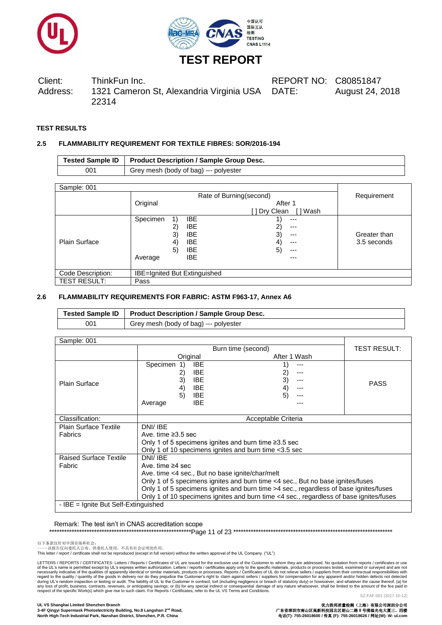



Client: ThinkFun Inc. REPORT NO: C80851847 Address: 1321 Cameron St, Alexandria Virginia USA 22314 DATE: August 24, 2018

#### **TEST RESULTS**

#### **2.5 FLAMMABILITY REQUIREMENT FOR TEXTILE FIBRES: SOR/2016-194**

|     | Tested Sample ID   Product Description / Sample Group Desc. |
|-----|-------------------------------------------------------------|
| 001 | Grey mesh (body of bag) --- polyester                       |

| Sample: 001          |                                     |                         |                      |              |
|----------------------|-------------------------------------|-------------------------|----------------------|--------------|
|                      |                                     | Rate of Burning(second) |                      | Requirement  |
|                      | Original                            |                         | After 1              |              |
|                      |                                     |                         | Dry Clean<br>⊺l Wash |              |
|                      | Specimen                            | <b>IBE</b>              | $---$                |              |
|                      | 2)                                  | <b>IBE</b>              | 2)<br>$---$          |              |
|                      | 3)                                  | <b>IBE</b>              | 3<br>$---$           | Greater than |
| <b>Plain Surface</b> | 4)                                  | <b>IBE</b>              | 4<br>$---$           | 3.5 seconds  |
|                      | 5)                                  | <b>IBE</b>              | 5)<br>$---$          |              |
|                      | Average                             | <b>IBE</b>              | ---                  |              |
|                      |                                     |                         |                      |              |
| Code Description:    | <b>IBE=Ignited But Extinguished</b> |                         |                      |              |
| <b>TEST RESULT:</b>  | Pass                                |                         |                      |              |

### **2.6 FLAMMABILITY REQUIREMENTS FOR FABRIC: ASTM F963-17, Annex A6**

| <b>Tested Sample ID</b> | <b>Product Description / Sample Group Desc.</b> |
|-------------------------|-------------------------------------------------|
| 001                     | Grey mesh (body of bag) --- polyester           |

| Sample: 001                          |                                                                                       |            |                                                                                        |                     |  |  |  |
|--------------------------------------|---------------------------------------------------------------------------------------|------------|----------------------------------------------------------------------------------------|---------------------|--|--|--|
|                                      |                                                                                       |            | Burn time (second)                                                                     | <b>TEST RESULT:</b> |  |  |  |
|                                      |                                                                                       | Original   | After 1 Wash                                                                           |                     |  |  |  |
|                                      | Specimen 1)                                                                           | <b>IBE</b> | $---$                                                                                  |                     |  |  |  |
|                                      | 2)                                                                                    | <b>IBE</b> | 2)<br>---                                                                              |                     |  |  |  |
| <b>Plain Surface</b>                 | 3)                                                                                    | <b>IBE</b> | 3)<br>---                                                                              | <b>PASS</b>         |  |  |  |
|                                      | 4)                                                                                    | <b>IBE</b> | 4)                                                                                     |                     |  |  |  |
|                                      | 5)                                                                                    | <b>IBE</b> | 5)                                                                                     |                     |  |  |  |
|                                      | Average                                                                               | <b>IBE</b> |                                                                                        |                     |  |  |  |
|                                      |                                                                                       |            |                                                                                        |                     |  |  |  |
| Classification:                      | Acceptable Criteria                                                                   |            |                                                                                        |                     |  |  |  |
| <b>Plain Surface Textile</b>         | DNI/ IBE                                                                              |            |                                                                                        |                     |  |  |  |
| Fabrics                              | Ave. time $\geq$ 3.5 sec                                                              |            |                                                                                        |                     |  |  |  |
|                                      | Only 1 of 5 specimens ignites and burn time $\geq$ 3.5 sec                            |            |                                                                                        |                     |  |  |  |
|                                      | Only 1 of 10 specimens ignites and burn time <3.5 sec                                 |            |                                                                                        |                     |  |  |  |
| <b>Raised Surface Textile</b>        | DNI/ IBE                                                                              |            |                                                                                        |                     |  |  |  |
| Fabric                               | Ave. time $\geq 4$ sec                                                                |            |                                                                                        |                     |  |  |  |
|                                      | Ave. time <4 sec., But no base ignite/char/melt                                       |            |                                                                                        |                     |  |  |  |
|                                      | Only 1 of 5 specimens ignites and burn time <4 sec., But no base ignites/fuses        |            |                                                                                        |                     |  |  |  |
|                                      | Only 1 of 5 specimens ignites and burn time >4 sec., regardless of base ignites/fuses |            |                                                                                        |                     |  |  |  |
|                                      |                                                                                       |            | Only 1 of 10 specimens ignites and burn time <4 sec., regardless of base ignites/fuses |                     |  |  |  |
| - IBE = Ignite But Self-Extinguished |                                                                                       |            |                                                                                        |                     |  |  |  |

Remark: The test isn't in CNAS accreditation scope

\*\*\*\*\*\*\*\*\*\*\*\*\*\*\*\*\*\*\*\*\*\*\*\*\*\*\*\*\*\*\*\*\*\*\*\*\*\*\*\*\*\*\*\*\*\*\*\*\*\*\*\*\*\*\*\*\*Page 11 of 23 \*\*\*\*\*\*\*\*\*\*\*\*\*\*\*\*\*\*\*\*\*\*\*\*\*\*\*\*\*\*\*\*\*\*\*\*\*\*\*\*\*\*\*\*\*\*\*\*\*\*\*\*\*\*\*\*\*\*\*\*\*\*\*\*

以下条款仅针对中国市场和社会: -----该报告仅向委托人公布、供委托人使用,不具有社会证明的作用。

This letter / report / certificate shall not be reproduced (except in full version) without the written approval of the UL Company. ("UL")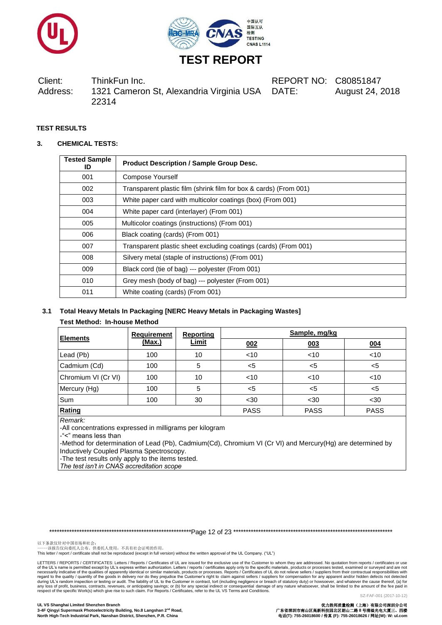



Client: ThinkFun Inc. REPORT NO: C80851847 Address: 1321 Cameron St, Alexandria Virginia USA 22314 DATE: August 24, 2018

### **TEST RESULTS**

#### **3. CHEMICAL TESTS:**

| <b>Tested Sample</b><br>ID | <b>Product Description / Sample Group Desc.</b>                   |
|----------------------------|-------------------------------------------------------------------|
| 001                        | <b>Compose Yourself</b>                                           |
| 002                        | Transparent plastic film (shrink film for box & cards) (From 001) |
| 003                        | White paper card with multicolor coatings (box) (From 001)        |
| 004                        | White paper card (interlayer) (From 001)                          |
| 005                        | Multicolor coatings (instructions) (From 001)                     |
| 006                        | Black coating (cards) (From 001)                                  |
| 007                        | Transparent plastic sheet excluding coatings (cards) (From 001)   |
| 008                        | Silvery metal (staple of instructions) (From 001)                 |
| 009                        | Black cord (tie of bag) --- polyester (From 001)                  |
| 010                        | Grey mesh (body of bag) --- polyester (From 001)                  |
| 011                        | White coating (cards) (From 001)                                  |

### **3.1 Total Heavy Metals In Packaging [NERC Heavy Metals in Packaging Wastes]**

### **Test Method: In-house Method**

| <b>Elements</b>     | Requirement<br>Reporting |              | Sample, mg/kg |             |             |
|---------------------|--------------------------|--------------|---------------|-------------|-------------|
|                     | (Max.)                   | <u>Limit</u> | 002           | 003         | 004         |
| Lead (Pb)           | 100                      | 10           | $<$ 10        | < 10        | < 10        |
| Cadmium (Cd)        | 100                      | 5            | <5            | <5          | <5          |
| Chromium VI (Cr VI) | 100                      | 10           | $<$ 10        | < 10        | < 10        |
| Mercury (Hg)        | 100                      | 5            | $<$ 5         | <5          | <5          |
| Sum                 | 100                      | 30           | $30$          | $30$        | $30$        |
| Rating              |                          |              | <b>PASS</b>   | <b>PASS</b> | <b>PASS</b> |

*Remark:*

-All concentrations expressed in milligrams per kilogram

-"<" means less than

-Method for determination of Lead (Pb), Cadmium(Cd), Chromium VI (Cr VI) and Mercury(Hg) are determined by Inductively Coupled Plasma Spectroscopy.

-The test results only apply to the items tested.

*The test isn't in CNAS accreditation scope*

\*\*\*\*\*\*\*\*\*\*\*\*\*\*\*\*\*\*\*\*\*\*\*\*\*\*\*\*\*\*\*\*\*\*\*\*\*\*\*\*\*\*\*\*\*\*\*\*\*\*\*\*\*\*\*\*\*Page 12 of 23 \*\*\*\*\*\*\*\*\*\*\*\*\*\*\*\*\*\*\*\*\*\*\*\*\*\*\*\*\*\*\*\*\*\*\*\*\*\*\*\*\*\*\*\*\*\*\*\*\*\*\*\*\*\*\*\*\*\*\*\*\*\*\*\*

以下条款仅针对中国市场和社会: -----该报告仅向委托人公布、供委托人使用,不具有社会证明的作用。

This letter / report / certificate shall not be reproduced (except in full version) without the written approval of the UL Company. ("UL")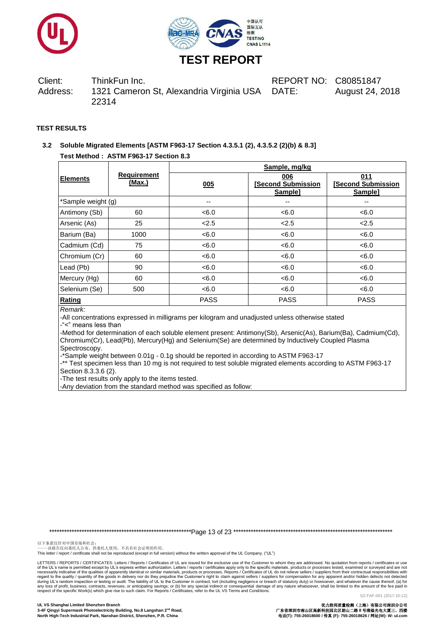



Client: ThinkFun Inc. REPORT NO: C80851847 Address: 1321 Cameron St, Alexandria Virginia USA 22314 DATE: August 24, 2018

### **TEST RESULTS**

**3.2 Soluble Migrated Elements [ASTM F963-17 Section 4.3.5.1 (2), 4.3.5.2 (2)(b) & 8.3] Test Method : ASTM F963-17 Section 8.3**

|                    |                              | Sample, mg/kg |                                                   |                                                  |  |  |  |
|--------------------|------------------------------|---------------|---------------------------------------------------|--------------------------------------------------|--|--|--|
| <b>Elements</b>    | <b>Requirement</b><br>(Max.) | 005           | 006<br><b>Second Submission</b><br><b>Sample1</b> | 011<br><b>Second Submission</b><br><b>Sample</b> |  |  |  |
| *Sample weight (g) |                              | --            | --                                                | --                                               |  |  |  |
| Antimony (Sb)      | 60                           | <6.0          | < 6.0                                             | < 6.0                                            |  |  |  |
| Arsenic (As)       | 25                           | < 2.5         | < 2.5                                             | < 2.5                                            |  |  |  |
| Barium (Ba)        | 1000                         | <6.0          | < 6.0                                             | < 6.0                                            |  |  |  |
| Cadmium (Cd)       | 75                           | < 6.0         | < 6.0                                             | < 6.0                                            |  |  |  |
| Chromium (Cr)      | 60                           | <6.0          | <6.0                                              | < 6.0                                            |  |  |  |
| Lead (Pb)          | 90                           | < 6.0         | <6.0                                              | < 6.0                                            |  |  |  |
| Mercury (Hg)       | 60                           | < 6.0         | < 6.0                                             | < 6.0                                            |  |  |  |
| Selenium (Se)      | 500                          | < 6.0         | <6.0                                              | < 6.0                                            |  |  |  |
| Rating             |                              | <b>PASS</b>   | <b>PASS</b>                                       | <b>PASS</b>                                      |  |  |  |

*Remark:*

-All concentrations expressed in milligrams per kilogram and unadjusted unless otherwise stated -"<" means less than

-Method for determination of each soluble element present: Antimony(Sb), Arsenic(As), Barium(Ba), Cadmium(Cd), Chromium(Cr), Lead(Pb), Mercury(Hg) and Selenium(Se) are determined by Inductively Coupled Plasma **Spectroscopy** 

-\*Sample weight between 0.01g - 0.1g should be reported in according to ASTM F963-17

-\*\* Test specimen less than 10 mg is not required to test soluble migrated elements according to ASTM F963-17 Section 8.3.3.6 (2).

-The test results only apply to the items tested.

-Any deviation from the standard method was specified as follow:

\*\*\*\*\*\*\*\*\*\*\*\*\*\*\*\*\*\*\*\*\*\*\*\*\*\*\*\*\*\*\*\*\*\*\*\*\*\*\*\*\*\*\*\*\*\*\*\*\*\*\*\*\*\*\*\*\*Page 13 of 23 \*\*\*\*\*\*\*\*\*\*\*\*\*\*\*\*\*\*\*\*\*\*\*\*\*\*\*\*\*\*\*\*\*\*\*\*\*\*\*\*\*\*\*\*\*\*\*\*\*\*\*\*\*\*\*\*\*\*\*\*\*\*\*\*

以下条款仅针对中国市场和社会: -----该报告仅向委托人公布、供委托人使用,不具有社会证明的作用。

This letter / report / certificate shall not be reproduced (except in full version) without the written approval of the UL Company. ("UL")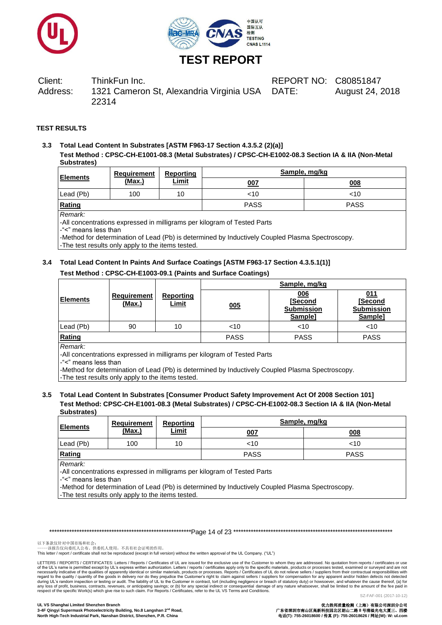



Client: ThinkFun Inc. REPORT NO: C80851847 Address: 1321 Cameron St, Alexandria Virginia USA 22314 DATE: August 24, 2018

#### **TEST RESULTS**

**3.3 Total Lead Content In Substrates [ASTM F963-17 Section 4.3.5.2 (2)(a)] Test Method : CPSC-CH-E1001-08.3 (Metal Substrates) / CPSC-CH-E1002-08.3 Section IA & IIA (Non-Metal Substrates)**

| <b>Elements</b> | Requirement   | Reporting    | Sample, mg/kg |             |  |
|-----------------|---------------|--------------|---------------|-------------|--|
|                 | <u>(Max.)</u> | <u>Limit</u> | 007           | 008         |  |
| Lead (Pb)       | 100           | 10           | <10           | $<$ 10      |  |
| Rating          |               |              | <b>PASS</b>   | <b>PASS</b> |  |

*Remark:*

-All concentrations expressed in milligrams per kilogram of Tested Parts

-"<" means less than

-Method for determination of Lead (Pb) is determined by Inductively Coupled Plasma Spectroscopy. -The test results only apply to the items tested.

### **3.4 Total Lead Content In Paints And Surface Coatings [ASTM F963-17 Section 4.3.5.1(1)] Test Method : CPSC-CH-E1003-09.1 (Paints and Surface Coatings)**

|                 |                              |                                  | Sample, mg/kg |                                                             |                                                                    |  |
|-----------------|------------------------------|----------------------------------|---------------|-------------------------------------------------------------|--------------------------------------------------------------------|--|
| <b>Elements</b> | <b>Requirement</b><br>(Max.) | <b>Reporting</b><br><b>Limit</b> | 005           | 006<br><b>Second</b><br><b>Submission</b><br><b>Sample]</b> | <u>011</u><br><b>Second</b><br><b>Submission</b><br><b>Sample]</b> |  |
| Lead (Pb)       | 90                           | 10                               | <10           | $<$ 10                                                      | $<$ 10                                                             |  |
| Rating          |                              | <b>PASS</b>                      | <b>PASS</b>   | <b>PASS</b>                                                 |                                                                    |  |
| Remark:         |                              |                                  |               |                                                             |                                                                    |  |

*Remark:*

-All concentrations expressed in milligrams per kilogram of Tested Parts

-"<" means less than

-Method for determination of Lead (Pb) is determined by Inductively Coupled Plasma Spectroscopy. -The test results only apply to the items tested.

### **3.5 Total Lead Content In Substrates [Consumer Product Safety Improvement Act Of 2008 Section 101] Test Method: CPSC-CH-E1001-08.3 (Metal Substrates) / CPSC-CH-E1002-08.3 Section IA & IIA (Non-Metal Substrates)**

|                 | Requirement | Reporting    | Sample, mg/kg |             |
|-----------------|-------------|--------------|---------------|-------------|
| <b>Elements</b> | (Max.)      | <u>Limit</u> | 007           | <u>008</u>  |
| Lead (Pb)       | 100         | 10           | ~10           | $<$ 10      |
| Rating          |             |              | <b>PASS</b>   | <b>PASS</b> |
| Remark:         |             |              |               |             |

-All concentrations expressed in milligrams per kilogram of Tested Parts

-"<" means less than

-Method for determination of Lead (Pb) is determined by Inductively Coupled Plasma Spectroscopy. -The test results only apply to the items tested.

\*\*\*\*\*\*\*\*\*\*\*\*\*\*\*\*\*\*\*\*\*\*\*\*\*\*\*\*\*\*\*\*\*\*\*\*\*\*\*\*\*\*\*\*\*\*\*\*\*\*\*\*\*\*\*\*\*Page 14 of 23 \*\*\*\*\*\*\*\*\*\*\*\*\*\*\*\*\*\*\*\*\*\*\*\*\*\*\*\*\*\*\*\*\*\*\*\*\*\*\*\*\*\*\*\*\*\*\*\*\*\*\*\*\*\*\*\*\*\*\*\*\*\*\*\*

以下条款仅针对中国市场和社会: -----该报告仅向委托人公布、供委托人使用,不具有社会证明的作用。

This letter / report / certificate shall not be reproduced (except in full version) without the written approval of the UL Company. ("UL")

LETTERS / REPORTS / CERTIFICATES: Letters / Reports / Certificates of UL are issued for the exclusive use of the Customer to whom they are addressed. No quotation from reports / certificates or use of the UL's name is permitted except by UL's express written authorization. Letters / reports / certificates apply only to the specific materials, products or processes tested, examined or surveyed and are not necessarily indicative of the qualities of apparently identical or similar materials, products or processes. Reports / Certificates of UL do not relieve sellers / suppliers from their contractual responsibilities with<br>reg any loss of profit, business, contracts, revenues, or anticipating savings; or (b) for any special indirect or consequential damage of any nature whatsoever, shall be limited to the amount of the fee paid in<br>respect of the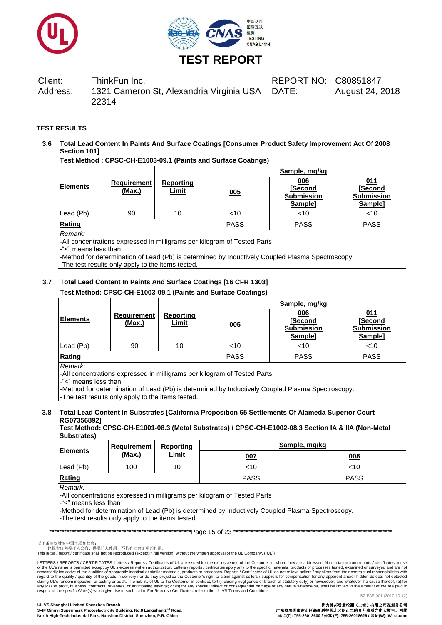



Client: ThinkFun Inc. REPORT NO: C80851847 Address: 1321 Cameron St, Alexandria Virginia USA 22314 DATE: August 24, 2018

### **TEST RESULTS**

**3.6 Total Lead Content In Paints And Surface Coatings [Consumer Product Safety Improvement Act Of 2008 Section 101]** 

**Test Method : CPSC-CH-E1003-09.1 (Paints and Surface Coatings)**

|                 |                       |                                  | Sample, mg/kg |                                                             |                                                                    |  |
|-----------------|-----------------------|----------------------------------|---------------|-------------------------------------------------------------|--------------------------------------------------------------------|--|
| <b>Elements</b> | Requirement<br>(Max.) | <b>Reporting</b><br><u>Limit</u> | 005           | 006<br><b>Second</b><br><b>Submission</b><br><b>Sample]</b> | <u>011</u><br><b>Second</b><br><b>Submission</b><br><b>Sample]</b> |  |
| Lead (Pb)       | 90                    | 10                               | $<$ 10        | $<$ 10                                                      | $<$ 10                                                             |  |
| Rating          |                       |                                  | <b>PASS</b>   | <b>PASS</b>                                                 | <b>PASS</b>                                                        |  |
| Remark:         |                       |                                  |               |                                                             |                                                                    |  |

-All concentrations expressed in milligrams per kilogram of Tested Parts

-"<" means less than

-Method for determination of Lead (Pb) is determined by Inductively Coupled Plasma Spectroscopy. -The test results only apply to the items tested.

### **3.7 Total Lead Content In Paints And Surface Coatings [16 CFR 1303]**

**Test Method: CPSC-CH-E1003-09.1 (Paints and Surface Coatings)**

|                 |                              |                           | Sample, mg/kg |                                                             |                                                                    |  |  |
|-----------------|------------------------------|---------------------------|---------------|-------------------------------------------------------------|--------------------------------------------------------------------|--|--|
| <b>Elements</b> | <b>Requirement</b><br>(Max.) | Reporting<br><u>Limit</u> | 005           | 006<br><b>Second</b><br><b>Submission</b><br><b>Sample]</b> | <u>011</u><br><b>Second</b><br><b>Submission</b><br><b>Sample1</b> |  |  |
| Lead (Pb)       | 90                           | 10                        | 10<           | $<$ 10                                                      | $<$ 10                                                             |  |  |
| Rating          |                              |                           | <b>PASS</b>   | <b>PASS</b>                                                 | <b>PASS</b>                                                        |  |  |

*Remark:*

-All concentrations expressed in milligrams per kilogram of Tested Parts

-"<" means less than

-Method for determination of Lead (Pb) is determined by Inductively Coupled Plasma Spectroscopy. -The test results only apply to the items tested.

#### **3.8 Total Lead Content In Substrates [California Proposition 65 Settlements Of Alameda Superior Court RG07356892]**

### **Test Method: CPSC-CH-E1001-08.3 (Metal Substrates) / CPSC-CH-E1002-08.3 Section IA & IIA (Non-Metal Substrates)**

| <b>Elements</b> | Requirement | Reporting    | Sample, mg/kg |             |  |
|-----------------|-------------|--------------|---------------|-------------|--|
|                 | (Max.)      | <u>Limit</u> | 007           | 008         |  |
| Lead (Pb)       | 100         | 10           | <10           | $<$ 10      |  |
| Rating          |             |              | <b>PASS</b>   | <b>PASS</b> |  |

*Remark:*

-All concentrations expressed in milligrams per kilogram of Tested Parts

-"<" means less than

-Method for determination of Lead (Pb) is determined by Inductively Coupled Plasma Spectroscopy.

-The test results only apply to the items tested.

\*\*\*\*\*\*\*\*\*\*\*\*\*\*\*\*\*\*\*\*\*\*\*\*\*\*\*\*\*\*\*\*\*\*\*\*\*\*\*\*\*\*\*\*\*\*\*\*\*\*\*\*\*\*\*\*\*Page 15 of 23 \*\*\*\*\*\*\*\*\*\*\*\*\*\*\*\*\*\*\*\*\*\*\*\*\*\*\*\*\*\*\*\*\*\*\*\*\*\*\*\*\*\*\*\*\*\*\*\*\*\*\*\*\*\*\*\*\*\*\*\*\*\*\*\*

以下条款仅针对中国市场和社会: -----该报告仅向委托人公布、供委托人使用,不具有社会证明的作用。

This letter / report / certificate shall not be reproduced (except in full version) without the written approval of the UL Company. ("UL")

LETTERS / REPORTS / CERTIFICATES: Letters / Reports / Certificates of UL are issued for the exclusive use of the Customer to whom they are addressed. No quotation from reports / certificates or use of the UL's name is permitted except by UL's express written authorization. Letters / reports / certificates apply only to the specific materials, products or processes tested, examined or surveyed and are not necessarily indicative of the qualities of apparently identical or similar materials, products or processes. Reports / Certificates of UL do not relieve sellers / suppliers from their contractual responsibilities with<br>reg any loss of profit, business, contracts, revenues, or anticipating savings; or (b) for any special indirect or consequential damage of any nature whatsoever, shall be limited to the amount of the fee paid in<br>respect of the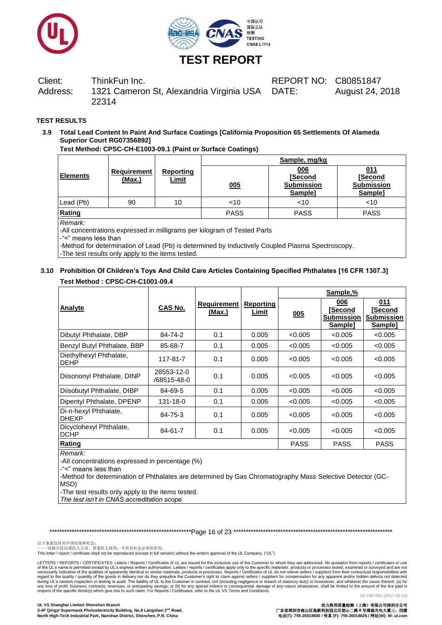



Client: ThinkFun Inc. REPORT NO: C80851847 Address: 1321 Cameron St, Alexandria Virginia USA 22314 DATE: August 24, 2018

### **TEST RESULTS**

**3.9 Total Lead Content In Paint And Surface Coatings [California Proposition 65 Settlements Of Alameda Superior Court RG07356892]**

**Test Method: CPSC-CH-E1003-09.1 (Paint or Surface Coatings)**

|                 |                              |                                  | Sample, mg/kg |                                                      |                                                             |  |  |
|-----------------|------------------------------|----------------------------------|---------------|------------------------------------------------------|-------------------------------------------------------------|--|--|
| <b>Elements</b> | <b>Requirement</b><br>(Max.) | <b>Reporting</b><br><b>Limit</b> | 005           | 006<br><b>Second</b><br><b>Submission</b><br>Sample] | <u>011</u><br><b>Second</b><br><b>Submission</b><br>Sample] |  |  |
| Lead (Pb)       | 90                           | 10                               | $<$ 10        | $<$ 10                                               | $<$ 10                                                      |  |  |
| Rating          |                              |                                  | <b>PASS</b>   | <b>PASS</b>                                          | <b>PASS</b>                                                 |  |  |
| Remark:         |                              |                                  |               |                                                      |                                                             |  |  |

-All concentrations expressed in milligrams per kilogram of Tested Parts

-"<" means less than

-Method for determination of Lead (Pb) is determined by Inductively Coupled Plasma Spectroscopy. -The test results only apply to the items tested.

### **3.10 Prohibition Of Children's Toys And Child Care Articles Containing Specified Phthalates [16 CFR 1307.3] Test Method : CPSC-CH-C1001-09.4**

|                                        |                           |                              |                           | Sample,%    |                                                      |                                                      |  |
|----------------------------------------|---------------------------|------------------------------|---------------------------|-------------|------------------------------------------------------|------------------------------------------------------|--|
| Analyte                                | CAS No.                   | <b>Requirement</b><br>(Max.) | <b>Reporting</b><br>Limit | 005         | 006<br><b>Second</b><br><b>Submission</b><br>Sample] | 011<br><b>Second</b><br><b>Submission</b><br>Sample] |  |
| Dibutyl Phthalate, DBP                 | 84-74-2                   | 0.1                          | 0.005                     | < 0.005     | < 0.005                                              | < 0.005                                              |  |
| Benzyl Butyl Phthalate, BBP            | 85-68-7                   | 0.1                          | 0.005                     | < 0.005     | < 0.005                                              | < 0.005                                              |  |
| Diethylhexyl Phthalate,<br><b>DEHP</b> | 117-81-7                  | 0.1                          | 0.005                     | < 0.005     | < 0.005                                              | < 0.005                                              |  |
| Diisononyl Phthalate, DINP             | 28553-12-0<br>/68515-48-0 | 0.1                          | 0.005                     | < 0.005     | < 0.005                                              | < 0.005                                              |  |
| Diisobutyl Phthalate, DIBP             | 84-69-5                   | 0.1                          | 0.005                     | < 0.005     | < 0.005                                              | < 0.005                                              |  |
| Dipentyl Phthalate, DPENP              | 131-18-0                  | 0.1                          | 0.005                     | < 0.005     | < 0.005                                              | < 0.005                                              |  |
| Di-n-hexyl Phthalate,<br><b>DHEXP</b>  | 84-75-3                   | 0.1                          | 0.005                     | < 0.005     | < 0.005                                              | < 0.005                                              |  |
| Dicyclohexyl Phthalate,<br><b>DCHP</b> | 84-61-7                   | 0.1                          | 0.005                     | < 0.005     | < 0.005                                              | < 0.005                                              |  |
| Rating                                 |                           |                              |                           | <b>PASS</b> | <b>PASS</b>                                          | <b>PASS</b>                                          |  |

*Remark:*

-All concentrations expressed in percentage (%)

-"<" means less than

-Method for determination of Phthalates are determined by Gas Chromatography Mass Selective Detector (GC-MSD)

-The test results only apply to the items tested.

*The test isn't in CNAS accreditation scope*

\*\*\*\*\*\*\*\*\*\*\*\*\*\*\*\*\*\*\*\*\*\*\*\*\*\*\*\*\*\*\*\*\*\*\*\*\*\*\*\*\*\*\*\*\*\*\*\*\*\*\*\*\*\*\*\*\*Page 16 of 23 \*\*\*\*\*\*\*\*\*\*\*\*\*\*\*\*\*\*\*\*\*\*\*\*\*\*\*\*\*\*\*\*\*\*\*\*\*\*\*\*\*\*\*\*\*\*\*\*\*\*\*\*\*\*\*\*\*\*\*\*\*\*\*\*

以下条款仅针对中国市场和社会: -----该报告仅向委托人公布、供委托人使用,不具有社会证明的作用。

This letter / report / certificate shall not be reproduced (except in full version) without the written approval of the UL Company. ("UL")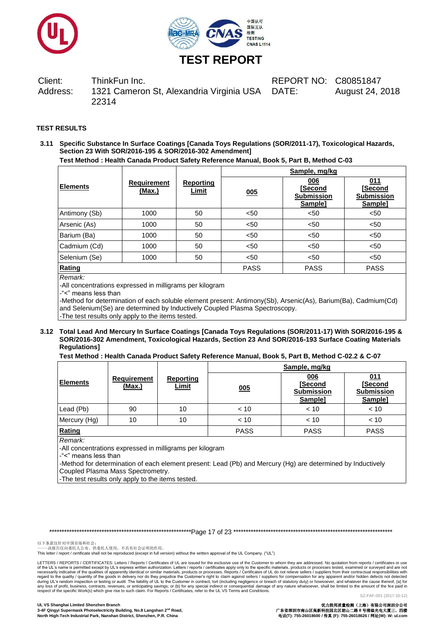



Client: ThinkFun Inc. REPORT NO: C80851847 Address: 1321 Cameron St, Alexandria Virginia USA 22314 DATE: August 24, 2018

#### **TEST RESULTS**

**3.11 Specific Substance In Surface Coatings [Canada Toys Regulations (SOR/2011-17), Toxicological Hazards, Section 23 With SOR/2016-195 & SOR/2016-302 Amendment] Test Method : Health Canada Product Safety Reference Manual, Book 5, Part B, Method C-03**

|               |                              |                           | Sample, mg/kg |                                                      |                                                             |  |  |  |
|---------------|------------------------------|---------------------------|---------------|------------------------------------------------------|-------------------------------------------------------------|--|--|--|
| Elements      | <b>Requirement</b><br>(Max.) | Reporting<br><b>Limit</b> | 005           | 006<br><b>Second</b><br><b>Submission</b><br>Sample] | 011<br><b>Second</b><br><b>Submission</b><br><b>Sample]</b> |  |  |  |
| Antimony (Sb) | 1000                         | 50                        | < 50          | $50$                                                 | < 50                                                        |  |  |  |
| Arsenic (As)  | 1000                         | 50                        | < 50          | < 50                                                 | $50$                                                        |  |  |  |
| Barium (Ba)   | 1000                         | 50                        | < 50          | < 50                                                 | < 50                                                        |  |  |  |
| Cadmium (Cd)  | 1000                         | 50                        | < 50          | < 50                                                 | < 50                                                        |  |  |  |
| Selenium (Se) | 1000                         | 50                        | < 50          | < 50                                                 | < 50                                                        |  |  |  |
| Rating        |                              |                           | <b>PASS</b>   | <b>PASS</b>                                          | <b>PASS</b>                                                 |  |  |  |

#### *Remark:*

-All concentrations expressed in milligrams per kilogram

-"<" means less than

-Method for determination of each soluble element present: Antimony(Sb), Arsenic(As), Barium(Ba), Cadmium(Cd) and Selenium(Se) are determined by Inductively Coupled Plasma Spectroscopy. -The test results only apply to the items tested.

#### **3.12 Total Lead And Mercury In Surface Coatings [Canada Toys Regulations (SOR/2011-17) With SOR/2016-195 & SOR/2016-302 Amendment, Toxicological Hazards, Section 23 And SOR/2016-193 Surface Coating Materials Regulations]**

#### **Test Method : Health Canada Product Safety Reference Manual, Book 5, Part B, Method C-02.2 & C-07**

|                                |                              |                           | Sample, mg/kg |                                                      |                                                                     |  |  |  |
|--------------------------------|------------------------------|---------------------------|---------------|------------------------------------------------------|---------------------------------------------------------------------|--|--|--|
| <b>Elements</b>                | Requirement<br><u>(Max.)</u> | Reporting<br><b>Limit</b> | 005           | 006<br><b>Second</b><br><b>Submission</b><br>Sample] | <u>011</u><br><b>Second</b><br><b>Submission</b><br><b>Sample</b> ] |  |  |  |
| Lead (Pb)                      | 90                           | 10                        | < 10          | < 10                                                 | < 10                                                                |  |  |  |
| Mercury (Hg)                   | 10                           | 10                        | < 10          | < 10                                                 | < 10                                                                |  |  |  |
| Rating<br>$\sim$ $\sim$ $\sim$ |                              |                           | <b>PASS</b>   | <b>PASS</b>                                          | <b>PASS</b>                                                         |  |  |  |

*Remark:*

-All concentrations expressed in milligrams per kilogram

-"<" means less than

-Method for determination of each element present: Lead (Pb) and Mercury (Hg) are determined by Inductively Coupled Plasma Mass Spectrometry.

-The test results only apply to the items tested.

\*\*\*\*\*\*\*\*\*\*\*\*\*\*\*\*\*\*\*\*\*\*\*\*\*\*\*\*\*\*\*\*\*\*\*\*\*\*\*\*\*\*\*\*\*\*\*\*\*\*\*\*\*\*\*\*\*Page 17 of 23 \*\*\*\*\*\*\*\*\*\*\*\*\*\*\*\*\*\*\*\*\*\*\*\*\*\*\*\*\*\*\*\*\*\*\*\*\*\*\*\*\*\*\*\*\*\*\*\*\*\*\*\*\*\*\*\*\*\*\*\*\*\*\*\*

以下条款仅针对中国市场和社会: -----该报告仅向委托人公布、供委托人使用,不具有社会证明的作用。

This letter / report / certificate shall not be reproduced (except in full version) without the written approval of the UL Company. ("UL")

LETTERS / REPORTS / CERTIFICATES: Letters / Reports / Certificates of UL are issued for the exclusive use of the Customer to whom they are addressed. No quotation from reports / certificates or use of the UL's name is permitted except by UL's express written authorization. Letters / reports / certificates apply only to the specific materials, products or processes tested, examined or surveyed and are not necessarily indicative of the qualities of apparently identical or similar materials, products or processes. Reports / Certificates of UL do not relieve sellers / suppliers from their contractual responsibilities with resp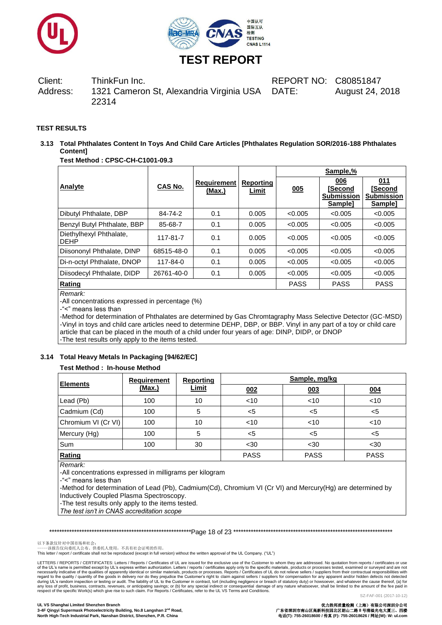



Client: ThinkFun Inc. REPORT NO: C80851847 Address: 1321 Cameron St, Alexandria Virginia USA 22314 DATE: August 24, 2018

### **TEST RESULTS**

**3.13 Total Phthalates Content In Toys And Child Care Articles [Phthalates Regulation SOR/2016-188 Phthalates Content]**

**Test Method : CPSC-CH-C1001-09.3**

|                                        |            |                                     |                           | Sample,%    |                                                            |                                                |  |
|----------------------------------------|------------|-------------------------------------|---------------------------|-------------|------------------------------------------------------------|------------------------------------------------|--|
| Analyte                                | CAS No.    | <b>Requirement</b><br><u>(Max.)</u> | Reporting<br><b>Limit</b> | 005         | 006<br><b>Second</b><br><b>Submission</b><br><b>Sample</b> | 011<br>[Second<br><b>Submission</b><br>Sample] |  |
| Dibutyl Phthalate, DBP                 | 84-74-2    | 0.1                                 | 0.005                     | < 0.005     | < 0.005                                                    | < 0.005                                        |  |
| Benzyl Butyl Phthalate, BBP            | 85-68-7    | 0.1                                 | 0.005                     | < 0.005     | < 0.005                                                    | < 0.005                                        |  |
| Diethylhexyl Phthalate,<br><b>DEHP</b> | 117-81-7   | 0.1                                 | 0.005                     | < 0.005     | < 0.005                                                    | < 0.005                                        |  |
| Diisononyl Phthalate, DINP             | 68515-48-0 | 0.1                                 | 0.005                     | < 0.005     | < 0.005                                                    | < 0.005                                        |  |
| Di-n-octyl Phthalate, DNOP             | 117-84-0   | 0.1                                 | 0.005                     | < 0.005     | < 0.005                                                    | < 0.005                                        |  |
| Diisodecyl Phthalate, DIDP             | 26761-40-0 | 0.1                                 | 0.005                     | < 0.005     | < 0.005                                                    | < 0.005                                        |  |
| Rating                                 |            |                                     |                           | <b>PASS</b> | <b>PASS</b>                                                | <b>PASS</b>                                    |  |

### *Remark:*

-All concentrations expressed in percentage (%)

-"<" means less than

-Method for determination of Phthalates are determined by Gas Chromtagraphy Mass Selective Detector (GC-MSD) -Vinyl in toys and child care articles need to determine DEHP, DBP, or BBP. Vinyl in any part of a toy or child care article that can be placed in the mouth of a child under four years of age: DINP, DIDP, or DNOP -The test results only apply to the items tested.

### **3.14 Total Heavy Metals In Packaging [94/62/EC]**

### **Test Method : In-house Method**

| <b>Elements</b>     | <b>Requirement</b> | <b>Reporting</b> | Sample, mg/kg |             |             |  |  |
|---------------------|--------------------|------------------|---------------|-------------|-------------|--|--|
|                     | (Max.)             | <b>Limit</b>     | 002           | 003         | 004         |  |  |
| Lead (Pb)           | 100                | 10               | $<$ 10        | < 10        | <10         |  |  |
| Cadmium (Cd)        | 100                | 5                | <5            | $<$ 5       | <5          |  |  |
| Chromium VI (Cr VI) | 100                | 10               | $<$ 10        | $<$ 10      | < 10        |  |  |
| Mercury (Hg)        | 100                | 5                | <5            | <5          | <5          |  |  |
| Sum                 | 100                | 30               | $30$          | $30$        | $30$        |  |  |
| Rating              |                    |                  | <b>PASS</b>   | <b>PASS</b> | <b>PASS</b> |  |  |

*Remark:*

-All concentrations expressed in milligrams per kilogram

-"<" means less than

-Method for determination of Lead (Pb), Cadmium(Cd), Chromium VI (Cr VI) and Mercury(Hg) are determined by Inductively Coupled Plasma Spectroscopy.

-The test results only apply to the items tested.

*The test isn't in CNAS accreditation scope*

\*\*\*\*\*\*\*\*\*\*\*\*\*\*\*\*\*\*\*\*\*\*\*\*\*\*\*\*\*\*\*\*\*\*\*\*\*\*\*\*\*\*\*\*\*\*\*\*\*\*\*\*\*\*\*\*\*Page 18 of 23 \*\*\*\*\*\*\*\*\*\*\*\*\*\*\*\*\*\*\*\*\*\*\*\*\*\*\*\*\*\*\*\*\*\*\*\*\*\*\*\*\*\*\*\*\*\*\*\*\*\*\*\*\*\*\*\*\*\*\*\*\*\*\*\*

以下条款仅针对中国市场和社会: -----该报告仅向委托人公布、供委托人使用,不具有社会证明的作用。

This letter / report / certificate shall not be reproduced (except in full version) without the written approval of the UL Company. ("UL")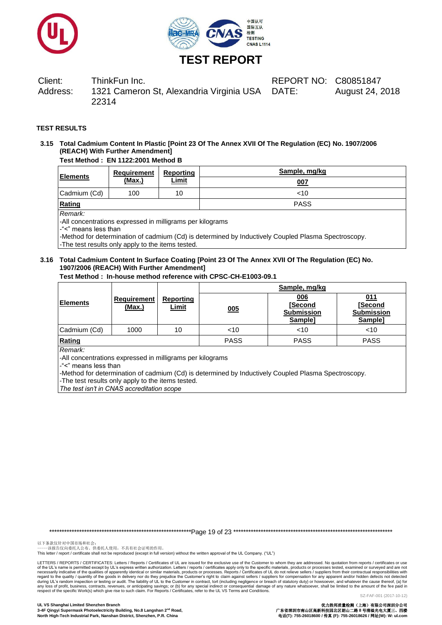



Client: ThinkFun Inc. REPORT NO: C80851847 Address: 1321 Cameron St, Alexandria Virginia USA 22314 DATE: August 24, 2018

### **TEST RESULTS**

### **3.15 Total Cadmium Content In Plastic [Point 23 Of The Annex XVII Of The Regulation (EC) No. 1907/2006 (REACH) With Further Amendment]**

### **Test Method : EN 1122:2001 Method B**

| <b>Elements</b> | Requirement            | Reporting | Sample, mg/kg |
|-----------------|------------------------|-----------|---------------|
|                 | <u>Limit</u><br>(Max.) |           | 007           |
| Cadmium (Cd)    | 100                    | 10        | 10<           |
| Rating          |                        |           | <b>PASS</b>   |

*Remark:*

-All concentrations expressed in milligrams per kilograms

-"<" means less than

-Method for determination of cadmium (Cd) is determined by Inductively Coupled Plasma Spectroscopy. -The test results only apply to the items tested.

### **3.16 Total Cadmium Content In Surface Coating [Point 23 Of The Annex XVII Of The Regulation (EC) No. 1907/2006 (REACH) With Further Amendment]**

**Test Method : In-house method reference with CPSC-CH-E1003-09.1**

|                 |                                     |                           | Sample, mg/kg |                                                                    |                                                             |  |  |
|-----------------|-------------------------------------|---------------------------|---------------|--------------------------------------------------------------------|-------------------------------------------------------------|--|--|
| <b>Elements</b> | <b>Requirement</b><br><u>(Max.)</u> | Reporting<br><b>Limit</b> | 005           | <u>006</u><br><b>Second</b><br><b>Submission</b><br><b>Sample1</b> | <u>011</u><br><b>Second</b><br><b>Submission</b><br>Sample] |  |  |
| Cadmium (Cd)    | 1000                                | 10                        | ~10           | $<$ 10                                                             | $<$ 10                                                      |  |  |
| Rating          |                                     |                           | <b>PASS</b>   | <b>PASS</b>                                                        | <b>PASS</b>                                                 |  |  |

*Remark:*

-All concentrations expressed in milligrams per kilograms

-"<" means less than

-Method for determination of cadmium (Cd) is determined by Inductively Coupled Plasma Spectroscopy.

-The test results only apply to the items tested.

*The test isn't in CNAS accreditation scope*

\*\*\*\*\*\*\*\*\*\*\*\*\*\*\*\*\*\*\*\*\*\*\*\*\*\*\*\*\*\*\*\*\*\*\*\*\*\*\*\*\*\*\*\*\*\*\*\*\*\*\*\*\*\*\*\*\*Page 19 of 23 \*\*\*\*\*\*\*\*\*\*\*\*\*\*\*\*\*\*\*\*\*\*\*\*\*\*\*\*\*\*\*\*\*\*\*\*\*\*\*\*\*\*\*\*\*\*\*\*\*\*\*\*\*\*\*\*\*\*\*\*\*\*\*\*

以下条款仅针对中国市场和社会: -----该报告仅向委托人公布、供委托人使用,不具有社会证明的作用。

This letter / report / certificate shall not be reproduced (except in full version) without the written approval of the UL Company. ("UL")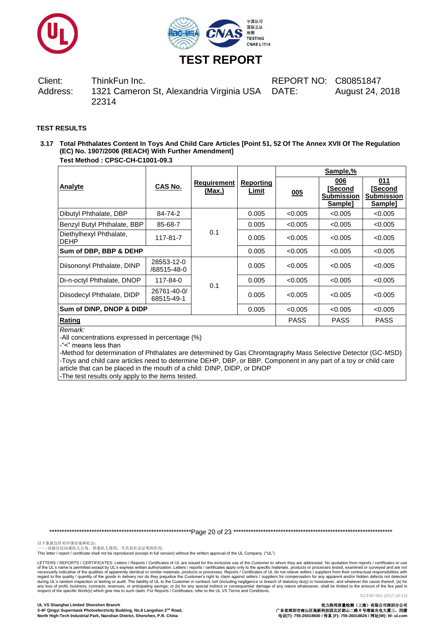



Client: ThinkFun Inc. REPORT NO: C80851847 Address: 1321 Cameron St, Alexandria Virginia USA 22314 DATE: August 24, 2018

### **TEST RESULTS**

#### **3.17 Total Phthalates Content In Toys And Child Care Articles [Point 51, 52 Of The Annex XVII Of The Regulation (EC) No. 1907/2006 (REACH) With Further Amendment] Test Method : CPSC-CH-C1001-09.3**

|                                        |                           |                       |                           | Sample,%    |                                         |                                                       |  |
|----------------------------------------|---------------------------|-----------------------|---------------------------|-------------|-----------------------------------------|-------------------------------------------------------|--|
| Analyte                                | <b>CAS No.</b>            | Requirement<br>(Max.) | <b>Reporting</b><br>Limit | 005         | 006<br>[Second<br>Submission<br>Sample] | 011<br>[Second<br><b>Submission</b><br><b>Sample]</b> |  |
| Dibutyl Phthalate, DBP                 | 84-74-2                   |                       | 0.005                     | < 0.005     | < 0.005                                 | < 0.005                                               |  |
| Benzyl Butyl Phthalate, BBP            | 85-68-7                   |                       | 0.005                     | < 0.005     | < 0.005                                 | < 0.005                                               |  |
| Diethylhexyl Phthalate,<br><b>DEHP</b> | 117-81-7                  | 0.1                   | 0.005                     | < 0.005     | < 0.005                                 | < 0.005                                               |  |
| Sum of DBP, BBP & DEHP                 |                           |                       | 0.005                     | < 0.005     | < 0.005                                 | < 0.005                                               |  |
| Diisononyl Phthalate, DINP             | 28553-12-0<br>/68515-48-0 |                       | 0.005                     | < 0.005     | < 0.005                                 | < 0.005                                               |  |
| Di-n-octyl Phthalate, DNOP             | 117-84-0                  | 0.1                   | 0.005                     | < 0.005     | < 0.005                                 | < 0.005                                               |  |
| Diisodecyl Phthalate, DIDP             | 26761-40-0/<br>68515-49-1 |                       | 0.005                     | < 0.005     | < 0.005                                 | < 0.005                                               |  |
| Sum of DINP, DNOP & DIDP               |                           |                       | 0.005                     | < 0.005     | < 0.005                                 | < 0.005                                               |  |
| Rating                                 |                           |                       |                           | <b>PASS</b> | <b>PASS</b>                             | <b>PASS</b>                                           |  |
| Remark:                                |                           |                       |                           |             |                                         |                                                       |  |

-All concentrations expressed in percentage (%)

-"<" means less than

-Method for determination of Phthalates are determined by Gas Chromtagraphy Mass Selective Detector (GC-MSD) -Toys and child care articles need to determine DEHP, DBP, or BBP. Component in any part of a toy or child care article that can be placed in the mouth of a child: DINP, DIDP, or DNOP

-The test results only apply to the items tested.

\*\*\*\*\*\*\*\*\*\*\*\*\*\*\*\*\*\*\*\*\*\*\*\*\*\*\*\*\*\*\*\*\*\*\*\*\*\*\*\*\*\*\*\*\*\*\*\*\*\*\*\*\*\*\*\*\*Page 20 of 23 \*\*\*\*\*\*\*\*\*\*\*\*\*\*\*\*\*\*\*\*\*\*\*\*\*\*\*\*\*\*\*\*\*\*\*\*\*\*\*\*\*\*\*\*\*\*\*\*\*\*\*\*\*\*\*\*\*\*\*\*\*\*\*\*

以下条款仅针对中国市场和社会: -----该报告仅向委托人公布、供委托人使用,不具有社会证明的作用。

This letter / report / certificate shall not be reproduced (except in full version) without the written approval of the UL Company. ("UL")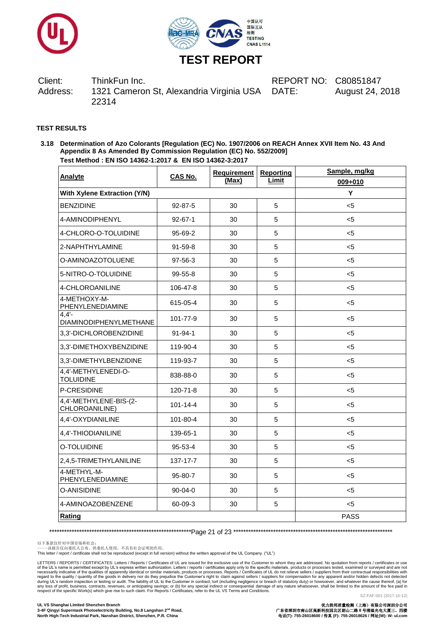



Client: ThinkFun Inc. REPORT NO: C80851847 Address: 1321 Cameron St, Alexandria Virginia USA 22314 DATE: August 24, 2018

#### **TEST RESULTS**

**3.18 Determination of Azo Colorants [Regulation (EC) No. 1907/2006 on REACH Annex XVII Item No. 43 And Appendix 8 As Amended By Commission Regulation (EC) No. 552/2009] Test Method : EN ISO 14362-1:2017 & EN ISO 14362-3:2017** 

| Analyte                                   | CAS No.        | Requirement | <b>Reporting</b> | Sample, mg/kg |
|-------------------------------------------|----------------|-------------|------------------|---------------|
|                                           |                | (Max)       | Limit            | $009 + 010$   |
| <b>With Xylene Extraction (Y/N)</b>       |                |             |                  | Y             |
| <b>BENZIDINE</b>                          | $92 - 87 - 5$  | 30          | 5                | $<$ 5         |
| 4-AMINODIPHENYL                           | $92 - 67 - 1$  | 30          | 5                | $<$ 5         |
| 4-CHLORO-O-TOLUIDINE                      | $95 - 69 - 2$  | 30          | 5                | $<$ 5         |
| 2-NAPHTHYLAMINE                           | $91 - 59 - 8$  | 30          | 5                | $<$ 5         |
| O-AMINOAZOTOLUENE                         | 97-56-3        | 30          | 5                | $<$ 5         |
| 5-NITRO-O-TOLUIDINE                       | $99 - 55 - 8$  | 30          | 5                | $5$           |
| 4-CHLOROANILINE                           | 106-47-8       | 30          | 5                | $<$ 5         |
| 4-METHOXY-M-<br>PHENYLENEDIAMINE          | 615-05-4       | 30          | 5                | $<$ 5         |
| $4,4'$ -<br><b>DIAMINODIPHENYLMETHANE</b> | 101-77-9       | 30          | 5                | $<$ 5         |
| 3,3'-DICHLOROBENZIDINE                    | $91 - 94 - 1$  | 30          | 5                | <5            |
| 3,3'-DIMETHOXYBENZIDINE                   | 119-90-4       | 30          | 5                | $<$ 5         |
| 3,3'-DIMETHYLBENZIDINE                    | 119-93-7       | 30          | 5                | $<$ 5         |
| 4,4'-METHYLENEDI-O-<br><b>TOLUIDINE</b>   | 838-88-0       | 30          | 5                | $<$ 5         |
| P-CRESIDINE                               | 120-71-8       | 30          | 5                | $<$ 5         |
| 4,4'-METHYLENE-BIS-(2-<br>CHLOROANILINE)  | $101 - 14 - 4$ | 30          | 5                | $<$ 5         |
| 4,4'-OXYDIANILINE                         | 101-80-4       | 30          | 5                | $<$ 5         |
| 4,4'-THIODIANILINE                        | 139-65-1       | 30          | 5                | $<$ 5         |
| O-TOLUIDINE                               | 95-53-4        | 30          | 5                | $<$ 5         |
| 2,4,5-TRIMETHYLANILINE                    | 137-17-7       | 30          | 5                | $<$ 5         |
| 4-METHYL-M-<br><b>PHENYLENEDIAMINE</b>    | 95-80-7        | 30          | 5                | $<$ 5         |
| O-ANISIDINE                               | $90-04-0$      | 30          | 5                | $<$ 5         |
| 4-AMINOAZOBENZENE                         | 60-09-3        | 30          | 5                | $<$ 5         |
| Rating                                    |                |             |                  | <b>PASS</b>   |

\*\*\*\*\*\*\*\*\*\*\*\*\*\*\*\*\*\*\*\*\*\*\*\*\*\*\*\*\*\*\*\*\*\*\*\*\*\*\*\*\*\*\*\*\*\*\*\*\*\*\*\*\*\*\*\*\*Page 21 of 23 \*\*\*\*\*\*\*\*\*\*\*\*\*\*\*\*\*\*\*\*\*\*\*\*\*\*\*\*\*\*\*\*\*\*\*\*\*\*\*\*\*\*\*\*\*\*\*\*\*\*\*\*\*\*\*\*\*\*\*\*\*\*\*\*

以下条款仅针对中国市场和社会: -----该报告仅向委托人公布、供委托人使用,不具有社会证明的作用。

This letter / report / certificate shall not be reproduced (except in full version) without the written approval of the UL Company. ("UL")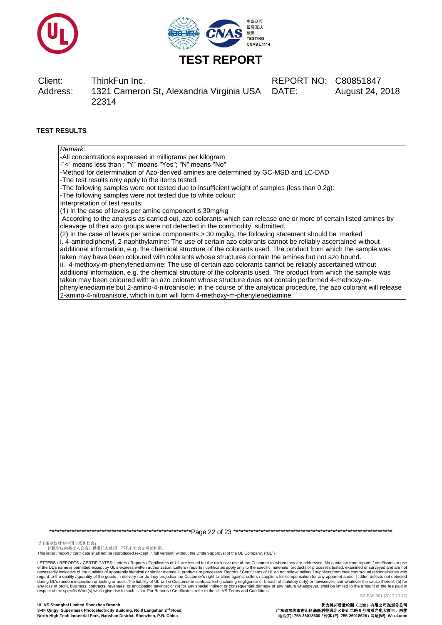



#### Client: ThinkFun Inc. REPORT NO: C80851847 Address: 1321 Cameron St, Alexandria Virginia USA 22314 DATE: August 24, 2018

### **TEST RESULTS**

| Remark:                                       |  |  |
|-----------------------------------------------|--|--|
| -All concentrations expressed in milligrams r |  |  |

ations expressed in milligrams per kilogram -"<" means less than ; "Y" means "Yes"; "N" means "No"

-Method for determination of Azo-derived amines are determined by GC-MSD and LC-DAD

-The test results only apply to the items tested.

-The following samples were not tested due to insufficient weight of samples (less than 0.2g):

-The following samples were not tested due to white colour:

Interpretation of test results:

(1) In the case of levels per amine component ≤ 30mg/kg

According to the analysis as carried out, azo colorants which can release one or more of certain listed amines by cleavage of their azo groups were not detected in the commodity submitted.

(2) In the case of levels per amine components > 30 mg/kg, the following statement should be marked i. 4-aminodiphenyl, 2-naphthylamine: The use of certain azo colorants cannot be reliably ascertained without additional information, e.g. the chemical structure of the colorants used. The product from which the sample was taken may have been coloured with colorants whose structures contain the amines but not azo bound. ii. 4-methoxy-m-phenylenediamine: The use of certain azo colorants cannot be reliably ascertained without additional information, e.g. the chemical structure of the colorants used. The product from which the sample was taken may been coloured with an azo colorant whose structure does not contain performed 4-methoxy-mphenylenediamine but 2-amino-4-nitroanisole; in the course of the analytical procedure, the azo colorant will release 2-amino-4-nitroanisole, which in turn will form 4-methoxy-m-phenylenediamine.

\*\*\*\*\*\*\*\*\*\*\*\*\*\*\*\*\*\*\*\*\*\*\*\*\*\*\*\*\*\*\*\*\*\*\*\*\*\*\*\*\*\*\*\*\*\*\*\*\*\*\*\*\*\*\*\*\*Page 22 of 23 \*\*\*\*\*\*\*\*\*\*\*\*\*\*\*\*\*\*\*\*\*\*\*\*\*\*\*\*\*\*\*\*\*\*\*\*\*\*\*\*\*\*\*\*\*\*\*\*\*\*\*\*\*\*\*\*\*\*\*\*\*\*\*\*

以下条款仅针对中国市场和社会: -----该报告仅向委托人公布、供委托人使用,不具有社会证明的作用。

This letter / report / certificate shall not be reproduced (except in full version) without the written approval of the UL Company. ("UL")

LETTERS / REPORTS / CERTIFICATES: Letters / Reports / Certificates of UL are issued for the exclusive use of the Customer to whom they are addressed. No quotation from reports / certificates or use of the UL's name is permitted except by UL's express written authorization. Letters / reports / certificates apply only to the specific materials, products or processes tested, examined or surveyed and are not necessarily indicative of the qualities of apparently identical or similar materials, products or processes. Reports / Certificates of UL do not relieve sellers / suppliers from their contractual responsibilities with resp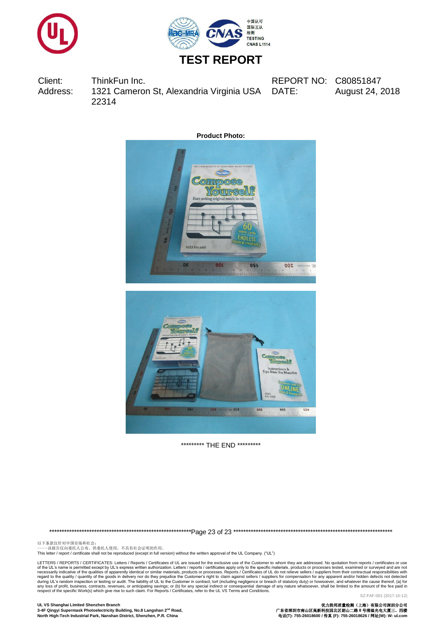



Client: ThinkFun Inc. REPORT NO: C80851847 Address: 1321 Cameron St, Alexandria Virginia USA 22314 DATE: August 24, 2018

**Product Photo:**





\*\*\*\*\*\*\*\*\*\* THE END \*\*\*\*\*\*\*\*\*\*

\*\*\*\*\*\*\*\*\*\*\*\*\*\*\*\*\*\*\*\*\*\*\*\*\*\*\*\*\*\*\*\*\*\*\*\*\*\*\*\*\*\*\*\*\*\*\*\*\*\*\*\*\*\*\*\*\*Page 23 of 23 \*\*\*\*\*\*\*\*\*\*\*\*\*\*\*\*\*\*\*\*\*\*\*\*\*\*\*\*\*\*\*\*\*\*\*\*\*\*\*\*\*\*\*\*\*\*\*\*\*\*\*\*\*\*\*\*\*\*\*\*\*\*\*\*

以下条款仅针对中国市场和社会: -----该报告仅向委托人公布、供委托人使用,不具有社会证明的作用。

This letter / report / certificate shall not be reproduced (except in full version) without the written approval of the UL Company. ("UL")